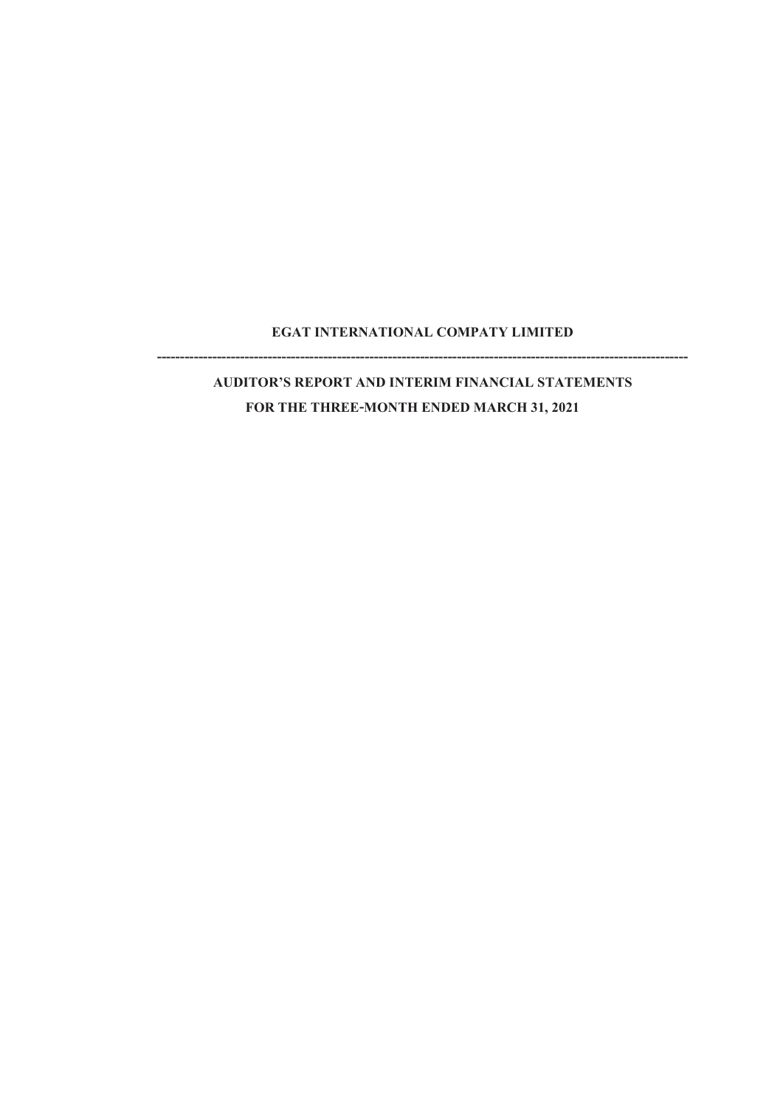## **EGAT INTERNATIONAL COMPATY LIMITED -------------------------------------------------------------------------------------------------------------------**

## **AUDITOR'S REPORT AND INTERIM FINANCIAL STATEMENTS FOR THE THREE-MONTH ENDED MARCH 31, 2021**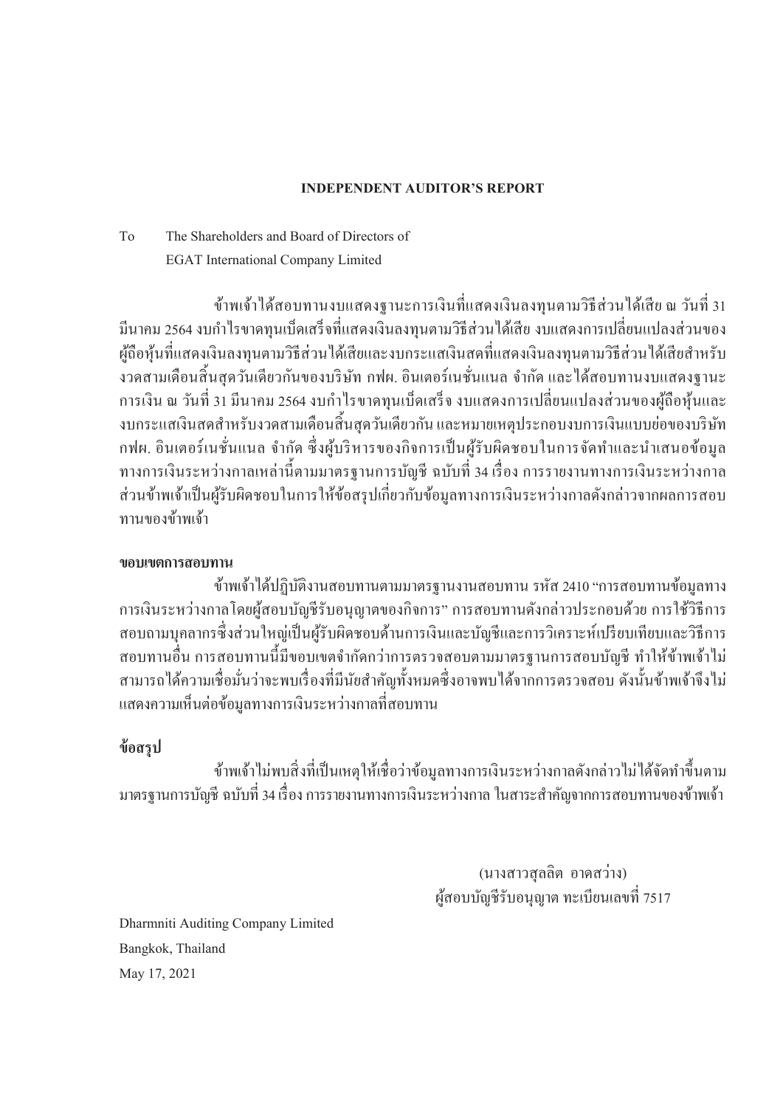### **INDEPENDENT AUDITOR'S REPORT**

## To The Shareholders and Board of Directors of EGAT International Company Limited

้ ข้าพเจ้าใด้สอบทานงบแสดงฐานะการเงินที่แสดงเงินลงทนตามวิธีส่วนใด้เสีย ณ วันที่ 31 ู้มีนาคม 2564 งบกำไรขาดทนเบ็ดเสร็จที่แสดงเงินลงทนตามวิธีส่วนได้เสีย งบแสดงการเปลี่ยนแปลงส่วนของ ผู้ถือหุ้นที่แสดงเงินลงทุนตามวิธีส่วนใด้เสียและงบกระแสเงินสดที่แสดงเงินลงทุนตามวิธีส่วนใด้เสียสำหรับ ึงวดสามเดือนสิ้นสุดวันเดียวกันของบริษัท กฟผ. อินเตอร์เนชั่นแนล จำกัด และได้สอบทานงบแสดงฐานะ ึการเงิน ณ วันที่ 31 มีนาคม 2564 งบกำไรขาดทุนเบ็ดเสร็จ งบแสดงการเปลี่ยนแปลงส่วนของผู้ถือหุ้นและ งบกระแสเงินสดสำหรับงวดสามเดือนสิ้นสุดวันเดียวกัน และหมายเหตุประกอบงบการเงินแบบย่อของบริษัท กฟผ. อินเตอร์เนชั่นแนล จำกัด ซึ่งผู้บริหารของกิจการเป็นผู้รับผิดชอบในการจัดทำและนำเสนอข้อมูล ี ทางการเงินระหว่างกาลเหล่านี้ตามมาตรฐานการบัญชี ฉบับที่ 34 เรื่อง การรายงานทางการเงินระหว่างกาล ้ ส่วนข้าพเจ้าเป็นผู้รับผิดชอบในการให้ข้อสรุปเกี่ยวกับข้อมูลทางการเงินระหว่างกาลดังกล่าวจากผลการสอบ ทาบของข้าพเจ้า

### **ขอบเขตการสอบทาน**

้ข้าพเจ้า ได้ปฏิบัติงานสอบทานตามมาตรฐานงานสอบทาน รหัส 2410 "การสอบทานข้อมูลทาง ึการเงินระหว่างกาลโดยผู้สอบบัญชีรับอนุญาตของกิจการ" การสอบทานดังกล่าวประกอบด้วย การใช้วิธีการ ี สอบถามบุคลากรซึ่งส่วนใหญ่เป็นผู้รับผิดชอบด้านการเงินและบัญชีและการวิเคราะห์เปรียบเทียบและวิธีการ ้ สอบทานอื่น การสอบทานนี้มีขอบเขตจำกัดกว่าการตรวจสอบตามมาตรฐานการสอบบัญชี ทำให้ข้าพเจ้าไม่ สามารถได้ความเชื่อมั่นว่าจะพบเรื่องที่มีนัยสำคัญทั้งหมดซึ่งอาจพบได้จากการตรวจสอบ ดังนั้นข้าพเจ้าจึงไม่ ้ แสดงความเห็นต่อข้อมูลทางการเงินระหว่างกาลที่สอบทาน

### **ข้อสรุป**

้ ข้าพเจ้าไม่พบสิ่งที่เป็นเหตุให้เชื่อว่าข้อมลทางการเงินระหว่างกาลดังกล่าวไม่ได้จัดทำขึ้นตาม ิมาตรฐานการบัญชี ฉบับที่ 34 เรื่อง การรายงานทางการเงินระหว่างกาล ในสาระสำคัญจากการสอบทานของข้าพเจ้า

> (นางสาวสุลลิต อาดสว่าง) ศ้สอบบัญชีรับอนุญาต ทะเบียนเลขที่ 7517

Dharmniti Auditing Company Limited Bangkok, Thailand May 17, 2021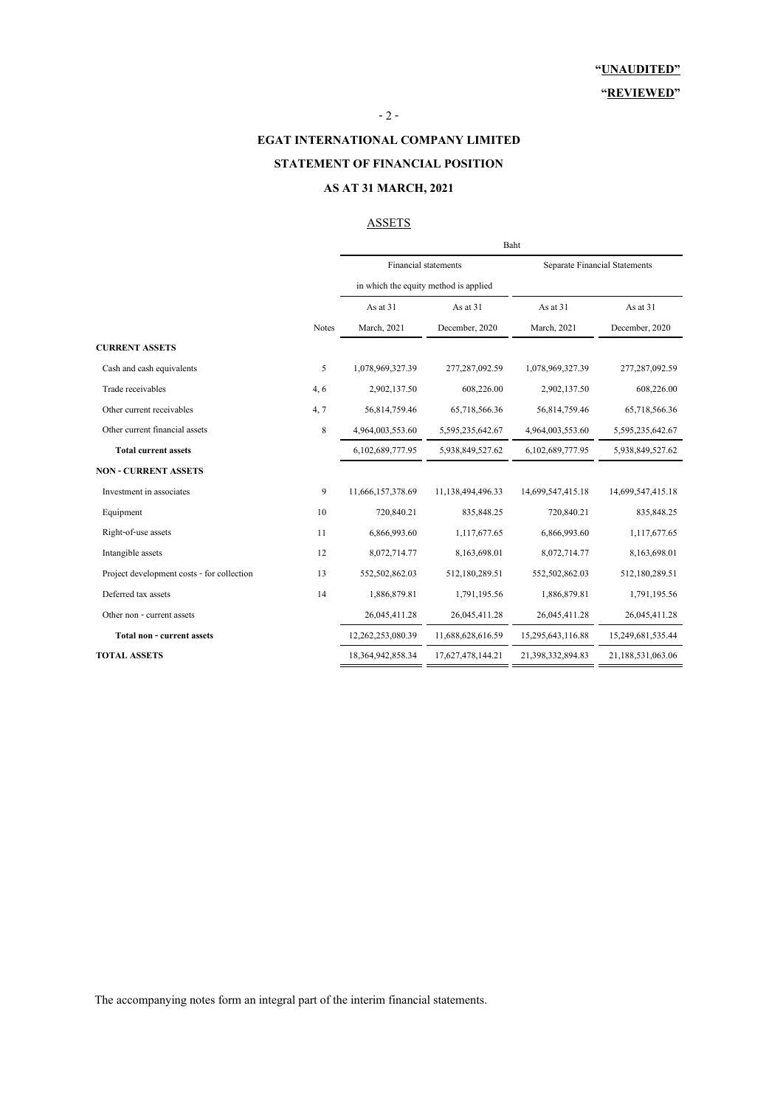### - 2 -

**EGAT INTERNATIONAL COMPANY LIMITED**

### **STATEMENT OF FINANCIAL POSITION**

#### **AS AT 31 MARCH, 2021**

### **ASSETS**

|                                            |              | Baht                                  |                   |                   |                                      |  |
|--------------------------------------------|--------------|---------------------------------------|-------------------|-------------------|--------------------------------------|--|
|                                            |              | Financial statements                  |                   |                   | <b>Separate Financial Statements</b> |  |
|                                            |              | in which the equity method is applied |                   |                   |                                      |  |
|                                            |              | As at 31                              | As at 31          | As at 31          | As at 31                             |  |
|                                            | <b>Notes</b> | March, 2021                           | December, 2020    | March, 2021       | December, 2020                       |  |
| <b>CURRENT ASSETS</b>                      |              |                                       |                   |                   |                                      |  |
| Cash and cash equivalents                  | 5            | 1,078,969,327.39                      | 277,287,092.59    | 1,078,969,327.39  | 277, 287, 092.59                     |  |
| Trade receivables                          | 4, 6         | 2,902,137.50                          | 608,226.00        | 2,902,137.50      | 608,226.00                           |  |
| Other current receivables                  | 4, 7         | 56,814,759.46                         | 65,718,566.36     | 56,814,759.46     | 65,718,566.36                        |  |
| Other current financial assets             | 8            | 4,964,003,553.60                      | 5,595,235,642.67  | 4,964,003,553.60  | 5,595,235,642.67                     |  |
| <b>Total current assets</b>                |              | 6,102,689,777.95                      | 5,938,849,527.62  | 6,102,689,777.95  | 5,938,849,527.62                     |  |
| <b>NON - CURRENT ASSETS</b>                |              |                                       |                   |                   |                                      |  |
| Investment in associates                   | 9            | 11,666,157,378.69                     | 11,138,494,496.33 | 14,699,547,415.18 | 14,699,547,415.18                    |  |
| Equipment                                  | 10           | 720,840.21                            | 835, 848. 25      | 720,840.21        | 835,848.25                           |  |
| Right-of-use assets                        | 11           | 6,866,993.60                          | 1,117,677.65      | 6,866,993.60      | 1,117,677.65                         |  |
| Intangible assets                          | 12           | 8,072,714.77                          | 8,163,698.01      | 8,072,714.77      | 8,163,698.01                         |  |
| Project development costs - for collection | 13           | 552,502,862.03                        | 512,180,289.51    | 552,502,862.03    | 512,180,289.51                       |  |
| Deferred tax assets                        | 14           | 1,886,879.81                          | 1,791,195.56      | 1,886,879.81      | 1,791,195.56                         |  |
| Other non - current assets                 |              | 26,045,411.28                         | 26,045,411.28     | 26,045,411.28     | 26,045,411.28                        |  |
| <b>Total non - current assets</b>          |              | 12,262,253,080.39                     | 11,688,628,616.59 | 15,295,643,116.88 | 15,249,681,535.44                    |  |
| <b>TOTAL ASSETS</b>                        |              | 18,364,942,858.34                     | 17,627,478,144.21 | 21,398,332,894.83 | 21,188,531,063.06                    |  |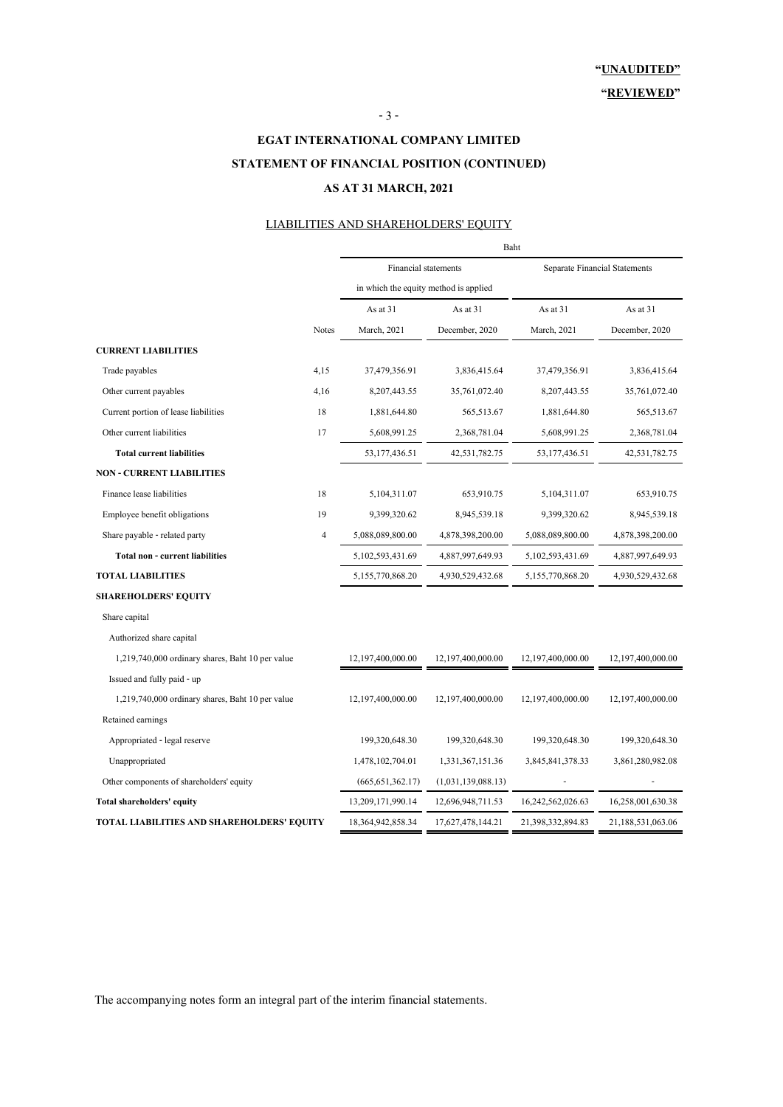## **STATEMENT OF FINANCIAL POSITION (CONTINUED) EGAT INTERNATIONAL COMPANY LIMITED AS AT 31 MARCH, 2021**

- 3 -

### LIABILITIES AND SHAREHOLDERS' EQUITY

|                                                  |                | Baht                                  |                    |                   |                               |  |
|--------------------------------------------------|----------------|---------------------------------------|--------------------|-------------------|-------------------------------|--|
|                                                  |                | <b>Financial statements</b>           |                    |                   | Separate Financial Statements |  |
|                                                  |                | in which the equity method is applied |                    |                   |                               |  |
|                                                  |                | As at 31                              | As at 31           | As at 31          | As at 31                      |  |
|                                                  | <b>Notes</b>   | March, 2021                           | December, 2020     | March, 2021       | December, 2020                |  |
| <b>CURRENT LIABILITIES</b>                       |                |                                       |                    |                   |                               |  |
| Trade payables                                   | 4,15           | 37,479,356.91                         | 3,836,415.64       | 37,479,356.91     | 3,836,415.64                  |  |
| Other current payables                           | 4,16           | 8, 207, 443. 55                       | 35,761,072.40      | 8,207,443.55      | 35,761,072.40                 |  |
| Current portion of lease liabilities             | 18             | 1,881,644.80                          | 565,513.67         | 1,881,644.80      | 565,513.67                    |  |
| Other current liabilities                        | 17             | 5,608,991.25                          | 2,368,781.04       | 5,608,991.25      | 2,368,781.04                  |  |
| <b>Total current liabilities</b>                 |                | 53, 177, 436.51                       | 42,531,782.75      | 53, 177, 436.51   | 42,531,782.75                 |  |
| <b>NON - CURRENT LIABILITIES</b>                 |                |                                       |                    |                   |                               |  |
| Finance lease liabilities                        | 18             | 5,104,311.07                          | 653,910.75         | 5,104,311.07      | 653,910.75                    |  |
| Employee benefit obligations                     | 19             | 9,399,320.62                          | 8,945,539.18       | 9,399,320.62      | 8,945,539.18                  |  |
| Share payable - related party                    | $\overline{4}$ | 5,088,089,800.00                      | 4,878,398,200.00   | 5,088,089,800.00  | 4,878,398,200.00              |  |
| <b>Total non - current liabilities</b>           |                | 5,102,593,431.69                      | 4,887,997,649.93   | 5,102,593,431.69  | 4,887,997,649.93              |  |
| <b>TOTAL LIABILITIES</b>                         |                | 5,155,770,868.20                      | 4,930,529,432.68   | 5,155,770,868.20  | 4,930,529,432.68              |  |
| <b>SHAREHOLDERS' EQUITY</b>                      |                |                                       |                    |                   |                               |  |
| Share capital                                    |                |                                       |                    |                   |                               |  |
| Authorized share capital                         |                |                                       |                    |                   |                               |  |
| 1,219,740,000 ordinary shares, Baht 10 per value |                | 12,197,400,000.00                     | 12,197,400,000.00  | 12,197,400,000.00 | 12,197,400,000.00             |  |
| Issued and fully paid - up                       |                |                                       |                    |                   |                               |  |
| 1,219,740,000 ordinary shares, Baht 10 per value |                | 12,197,400,000.00                     | 12,197,400,000.00  | 12,197,400,000.00 | 12,197,400,000.00             |  |
| Retained earnings                                |                |                                       |                    |                   |                               |  |
| Appropriated - legal reserve                     |                | 199,320,648.30                        | 199,320,648.30     | 199,320,648.30    | 199,320,648.30                |  |
| Unappropriated                                   |                | 1,478,102,704.01                      | 1,331,367,151.36   | 3,845,841,378.33  | 3,861,280,982.08              |  |
| Other components of shareholders' equity         |                | (665, 651, 362.17)                    | (1,031,139,088.13) |                   |                               |  |
| Total shareholders' equity                       |                | 13,209,171,990.14                     | 12,696,948,711.53  | 16,242,562,026.63 | 16,258,001,630.38             |  |
| TOTAL LIABILITIES AND SHAREHOLDERS' EQUITY       |                | 18,364,942,858.34                     | 17,627,478,144.21  | 21,398,332,894.83 | 21,188,531,063.06             |  |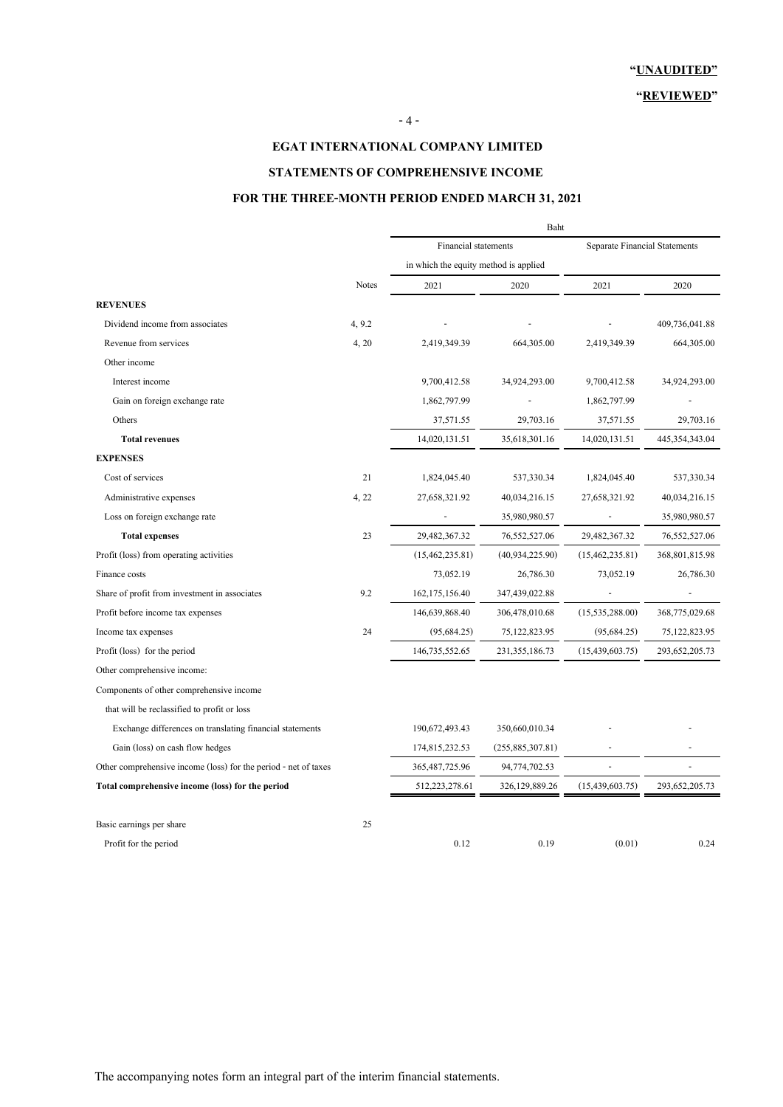#### **"REVIEWED"**

### **EGAT INTERNATIONAL COMPANY LIMITED**

### **STATEMENTS OF COMPREHENSIVE INCOME**

### **FOR THE THREE-MONTH PERIOD ENDED MARCH 31, 2021**

|                                                                 |              | Baht                                  |                   |                                      |                   |  |
|-----------------------------------------------------------------|--------------|---------------------------------------|-------------------|--------------------------------------|-------------------|--|
|                                                                 |              | Financial statements                  |                   | <b>Separate Financial Statements</b> |                   |  |
|                                                                 |              | in which the equity method is applied |                   |                                      |                   |  |
|                                                                 | <b>Notes</b> | 2021                                  | 2020              | 2021                                 | 2020              |  |
| <b>REVENUES</b>                                                 |              |                                       |                   |                                      |                   |  |
| Dividend income from associates                                 | 4, 9.2       |                                       |                   |                                      | 409,736,041.88    |  |
| Revenue from services                                           | 4, 20        | 2,419,349.39                          | 664, 305.00       | 2,419,349.39                         | 664, 305.00       |  |
| Other income                                                    |              |                                       |                   |                                      |                   |  |
| Interest income                                                 |              | 9,700,412.58                          | 34,924,293.00     | 9,700,412.58                         | 34,924,293.00     |  |
| Gain on foreign exchange rate                                   |              | 1,862,797.99                          |                   | 1,862,797.99                         |                   |  |
| Others                                                          |              | 37,571.55                             | 29,703.16         | 37,571.55                            | 29,703.16         |  |
| <b>Total revenues</b>                                           |              | 14,020,131.51                         | 35,618,301.16     | 14,020,131.51                        | 445, 354, 343. 04 |  |
| <b>EXPENSES</b>                                                 |              |                                       |                   |                                      |                   |  |
| Cost of services                                                | 21           | 1,824,045.40                          | 537,330.34        | 1,824,045.40                         | 537,330.34        |  |
| Administrative expenses                                         | 4, 22        | 27,658,321.92                         | 40,034,216.15     | 27,658,321.92                        | 40,034,216.15     |  |
| Loss on foreign exchange rate                                   |              |                                       | 35,980,980.57     |                                      | 35,980,980.57     |  |
| <b>Total expenses</b>                                           | 23           | 29,482,367.32                         | 76, 552, 527.06   | 29,482,367.32                        | 76, 552, 527.06   |  |
| Profit (loss) from operating activities                         |              | (15, 462, 235.81)                     | (40, 934, 225.90) | (15, 462, 235.81)                    | 368,801,815.98    |  |
| Finance costs                                                   |              | 73,052.19                             | 26,786.30         | 73,052.19                            | 26,786.30         |  |
| Share of profit from investment in associates                   | 9.2          | 162, 175, 156.40                      | 347,439,022.88    |                                      |                   |  |
| Profit before income tax expenses                               |              | 146,639,868.40                        | 306,478,010.68    | (15, 535, 288.00)                    | 368,775,029.68    |  |
| Income tax expenses                                             | 24           | (95, 684.25)                          | 75, 122, 823. 95  | (95,684.25)                          | 75, 122, 823. 95  |  |
| Profit (loss) for the period                                    |              | 146,735,552.65                        | 231, 355, 186. 73 | (15, 439, 603.75)                    | 293, 652, 205. 73 |  |
| Other comprehensive income:                                     |              |                                       |                   |                                      |                   |  |
| Components of other comprehensive income                        |              |                                       |                   |                                      |                   |  |
| that will be reclassified to profit or loss                     |              |                                       |                   |                                      |                   |  |
| Exchange differences on translating financial statements        |              | 190,672,493.43                        | 350,660,010.34    |                                      |                   |  |
| Gain (loss) on cash flow hedges                                 |              | 174,815,232.53                        | (255,885,307.81)  |                                      |                   |  |
| Other comprehensive income (loss) for the period - net of taxes |              | 365, 487, 725. 96                     | 94,774,702.53     |                                      |                   |  |
| Total comprehensive income (loss) for the period                |              | 512,223,278.61                        | 326,129,889.26    | (15, 439, 603.75)                    | 293, 652, 205. 73 |  |
| Basic earnings per share                                        | 25           |                                       |                   |                                      |                   |  |
| Profit for the period                                           |              | 0.12                                  | 0.19              | (0.01)                               | 0.24              |  |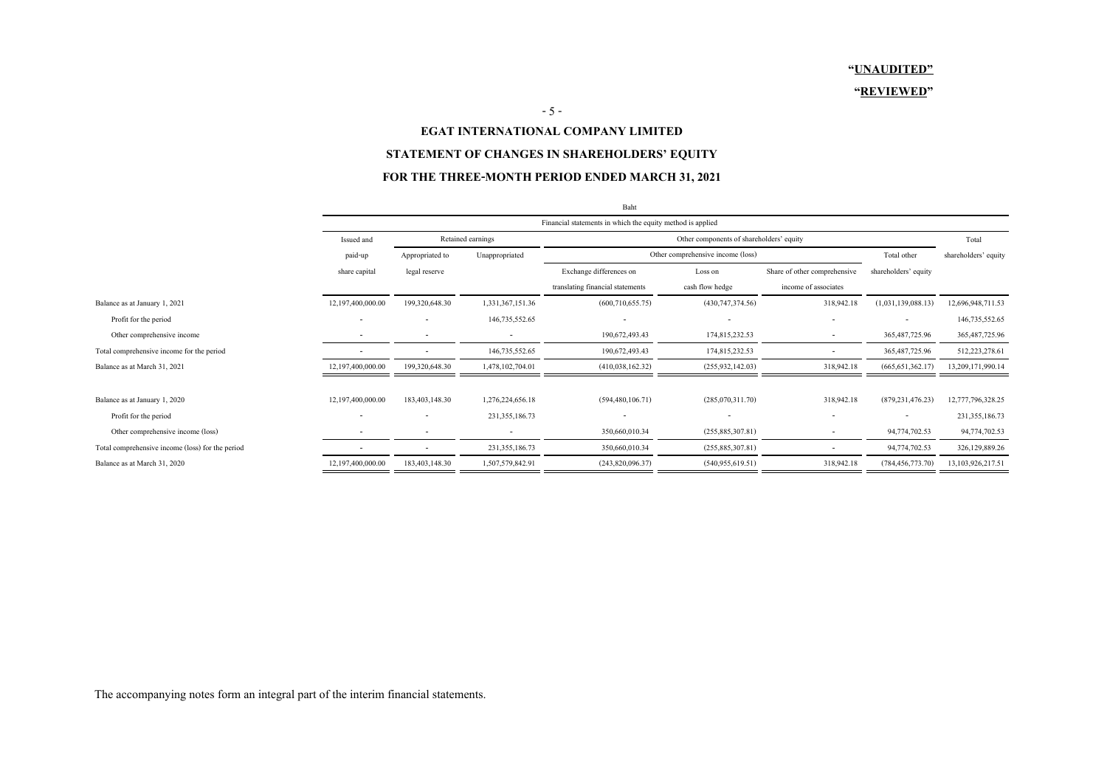#### **"REVIEWED"**

#### $-5 -$

#### **EGAT INTERNATIONAL COMPANY LIMITED**

### **STATEMENT OF CHANGES IN SHAREHOLDERS' EQUITY**

### **FOR THE THREE-MONTH PERIOD ENDED MARCH 31, 2021**

|                                                  |                          |                                                               |                   | Baht                             |                                   |                              |                          |                      |
|--------------------------------------------------|--------------------------|---------------------------------------------------------------|-------------------|----------------------------------|-----------------------------------|------------------------------|--------------------------|----------------------|
|                                                  |                          | Financial statements in which the equity method is applied    |                   |                                  |                                   |                              |                          |                      |
|                                                  | Issued and               | Retained earnings<br>Other components of shareholders' equity |                   |                                  |                                   |                              |                          | Total                |
|                                                  | paid-up                  | Appropriated to                                               | Unappropriated    |                                  | Other comprehensive income (loss) |                              | Total other              | shareholders' equity |
|                                                  | share capital            | legal reserve                                                 |                   | Exchange differences on          | Loss on                           | Share of other comprehensive | shareholders' equity     |                      |
|                                                  |                          |                                                               |                   | translating financial statements | cash flow hedge                   | income of associates         |                          |                      |
| Balance as at January 1, 2021                    | 12,197,400,000.00        | 199,320,648.30                                                | 1,331,367,151.36  | (600, 710, 655.75)               | (430, 747, 374.56)                | 318,942.18                   | (1,031,139,088.13)       | 12,696,948,711.53    |
| Profit for the period                            |                          | $\overline{\phantom{a}}$                                      | 146,735,552.65    | $\overline{\phantom{a}}$         |                                   | $\sim$                       |                          | 146,735,552.65       |
| Other comprehensive income                       |                          |                                                               |                   | 190,672,493.43                   | 174,815,232.53                    |                              | 365, 487, 725. 96        | 365, 487, 725. 96    |
| Total comprehensive income for the period        |                          | $\overline{\phantom{a}}$                                      | 146,735,552.65    | 190,672,493.43                   | 174,815,232.53                    |                              | 365, 487, 725. 96        | 512,223,278.61       |
| Balance as at March 31, 2021                     | 12,197,400,000.00        | 199,320,648.30                                                | 1,478,102,704.01  | (410,038,162.32)                 | (255, 932, 142.03)                | 318,942.18                   | (665, 651, 362.17)       | 13,209,171,990.14    |
|                                                  |                          |                                                               |                   |                                  |                                   |                              |                          |                      |
| Balance as at January 1, 2020                    | 12,197,400,000.00        | 183,403,148.30                                                | 1,276,224,656.18  | (594, 480, 106.71)               | (285,070,311.70)                  | 318,942.18                   | (879, 231, 476.23)       | 12,777,796,328.25    |
| Profit for the period                            | $\overline{\phantom{a}}$ | $\overline{\phantom{a}}$                                      | 231, 355, 186. 73 |                                  |                                   | $\overline{\phantom{a}}$     | $\overline{\phantom{a}}$ | 231,355,186.73       |
| Other comprehensive income (loss)                |                          | -                                                             |                   | 350,660,010.34                   | (255,885,307.81)                  |                              | 94,774,702.53            | 94,774,702.53        |
| Total comprehensive income (loss) for the period |                          | $\overline{\phantom{a}}$                                      | 231, 355, 186. 73 | 350,660,010.34                   | (255,885,307.81)                  |                              | 94,774,702.53            | 326,129,889.26       |
| Balance as at March 31, 2020                     | 12,197,400,000.00        | 183,403,148.30                                                | 1,507,579,842.91  | (243,820,096.37)                 | (540, 955, 619.51)                | 318,942.18                   | (784, 456, 773.70)       | 13,103,926,217.51    |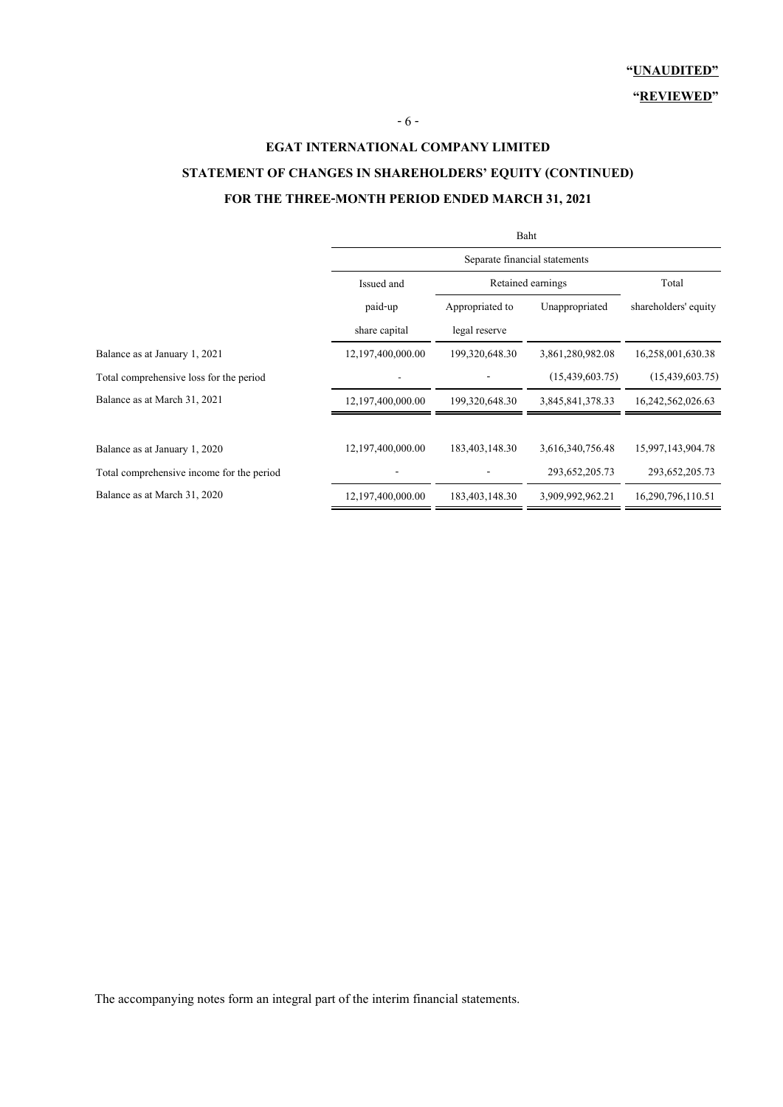**"REVIEWED"**

## **EGAT INTERNATIONAL COMPANY LIMITED STATEMENT OF CHANGES IN SHAREHOLDERS' EQUITY (CONTINUED) FOR THE THREE-MONTH PERIOD ENDED MARCH 31, 2021**

|                                           | Baht                          |                   |                   |                      |  |  |
|-------------------------------------------|-------------------------------|-------------------|-------------------|----------------------|--|--|
|                                           | Separate financial statements |                   |                   |                      |  |  |
|                                           | Issued and                    |                   | Retained earnings | Total                |  |  |
|                                           | paid-up                       | Appropriated to   | Unappropriated    | shareholders' equity |  |  |
|                                           | share capital                 | legal reserve     |                   |                      |  |  |
| Balance as at January 1, 2021             | 12,197,400,000.00             | 199,320,648.30    | 3,861,280,982.08  | 16,258,001,630.38    |  |  |
| Total comprehensive loss for the period   |                               |                   | (15,439,603.75)   | (15, 439, 603, 75)   |  |  |
| Balance as at March 31, 2021              | 12,197,400,000.00             | 199, 320, 648. 30 | 3,845,841,378.33  | 16,242,562,026.63    |  |  |
|                                           |                               |                   |                   |                      |  |  |
| Balance as at January 1, 2020             | 12,197,400,000.00             | 183,403,148.30    | 3,616,340,756.48  | 15,997,143,904.78    |  |  |
| Total comprehensive income for the period |                               |                   | 293, 652, 205. 73 | 293, 652, 205. 73    |  |  |
| Balance as at March 31, 2020              | 12,197,400,000.00             | 183,403,148.30    | 3,909,992,962.21  | 16,290,796,110.51    |  |  |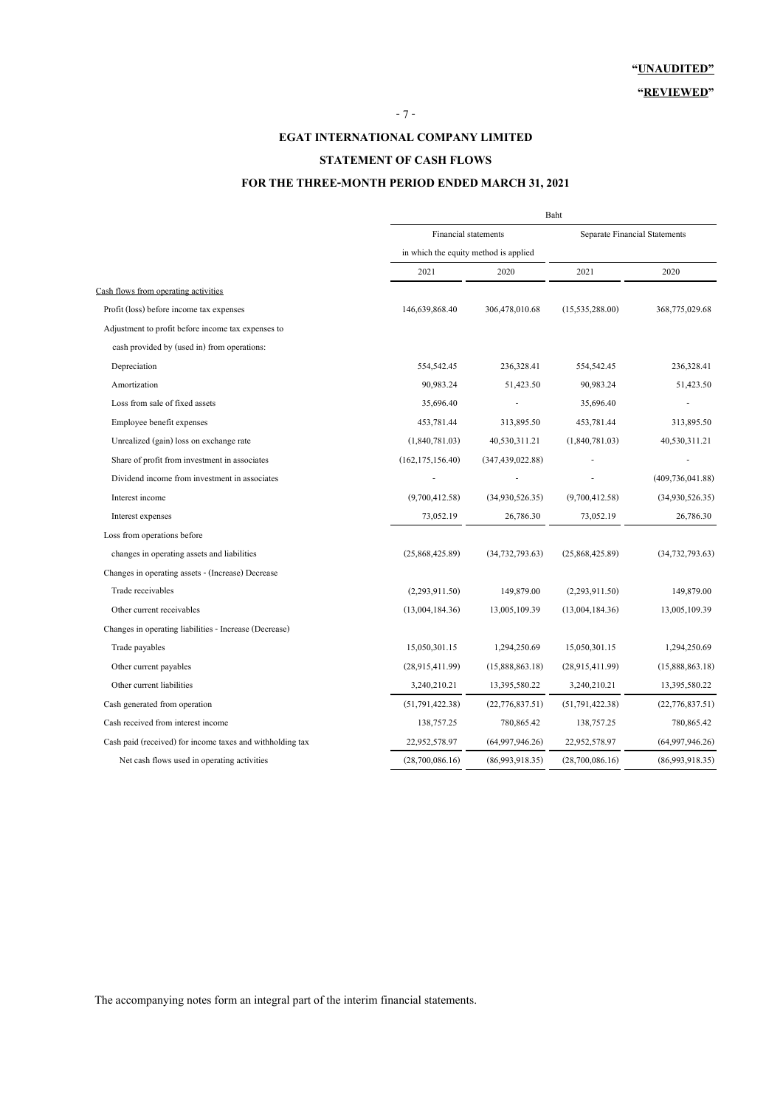#### **EGAT INTERNATIONAL COMPANY LIMITED**

### **STATEMENT OF CASH FLOWS**

### **FOR THE THREE-MONTH PERIOD ENDED MARCH 31, 2021**

|                                                           |                                       | Baht               |                                      |                    |  |  |
|-----------------------------------------------------------|---------------------------------------|--------------------|--------------------------------------|--------------------|--|--|
|                                                           | Financial statements                  |                    | <b>Separate Financial Statements</b> |                    |  |  |
|                                                           | in which the equity method is applied |                    |                                      |                    |  |  |
|                                                           | 2021                                  | 2020               | 2021                                 | 2020               |  |  |
| Cash flows from operating activities                      |                                       |                    |                                      |                    |  |  |
| Profit (loss) before income tax expenses                  | 146,639,868.40                        | 306,478,010.68     | (15, 535, 288.00)                    | 368,775,029.68     |  |  |
| Adjustment to profit before income tax expenses to        |                                       |                    |                                      |                    |  |  |
| cash provided by (used in) from operations:               |                                       |                    |                                      |                    |  |  |
| Depreciation                                              | 554,542.45                            | 236,328.41         | 554,542.45                           | 236,328.41         |  |  |
| Amortization                                              | 90,983.24                             | 51,423.50          | 90,983.24                            | 51,423.50          |  |  |
| Loss from sale of fixed assets                            | 35,696.40                             |                    | 35,696.40                            |                    |  |  |
| Employee benefit expenses                                 | 453,781.44                            | 313,895.50         | 453,781.44                           | 313,895.50         |  |  |
| Unrealized (gain) loss on exchange rate                   | (1,840,781.03)                        | 40,530,311.21      | (1,840,781.03)                       | 40,530,311.21      |  |  |
| Share of profit from investment in associates             | (162, 175, 156.40)                    | (347, 439, 022.88) |                                      |                    |  |  |
| Dividend income from investment in associates             |                                       |                    |                                      | (409, 736, 041.88) |  |  |
| Interest income                                           | (9,700,412.58)                        | (34,930,526.35)    | (9,700,412.58)                       | (34,930,526.35)    |  |  |
| Interest expenses                                         | 73,052.19                             | 26,786.30          | 73,052.19                            | 26,786.30          |  |  |
| Loss from operations before                               |                                       |                    |                                      |                    |  |  |
| changes in operating assets and liabilities               | (25,868,425.89)                       | (34, 732, 793.63)  | (25,868,425.89)                      | (34, 732, 793.63)  |  |  |
| Changes in operating assets - (Increase) Decrease         |                                       |                    |                                      |                    |  |  |
| Trade receivables                                         | (2,293,911.50)                        | 149,879.00         | (2,293,911.50)                       | 149,879.00         |  |  |
| Other current receivables                                 | (13,004,184.36)                       | 13,005,109.39      | (13,004,184.36)                      | 13,005,109.39      |  |  |
| Changes in operating liabilities - Increase (Decrease)    |                                       |                    |                                      |                    |  |  |
| Trade payables                                            | 15,050,301.15                         | 1,294,250.69       | 15,050,301.15                        | 1,294,250.69       |  |  |
| Other current payables                                    | (28,915,411.99)                       | (15,888,863.18)    | (28,915,411.99)                      | (15,888,863.18)    |  |  |
| Other current liabilities                                 | 3,240,210.21                          | 13,395,580.22      | 3,240,210.21                         | 13,395,580.22      |  |  |
| Cash generated from operation                             | (51, 791, 422, 38)                    | (22, 776, 837.51)  | (51, 791, 422.38)                    | (22, 776, 837.51)  |  |  |
| Cash received from interest income                        | 138,757.25                            | 780,865.42         | 138,757.25                           | 780,865.42         |  |  |
| Cash paid (received) for income taxes and withholding tax | 22,952,578.97                         | (64,997,946.26)    | 22,952,578.97                        | (64,997,946.26)    |  |  |
| Net cash flows used in operating activities               | (28,700,086.16)                       | (86,993,918.35)    | (28,700,086.16)                      | (86,993,918.35)    |  |  |
|                                                           |                                       |                    |                                      |                    |  |  |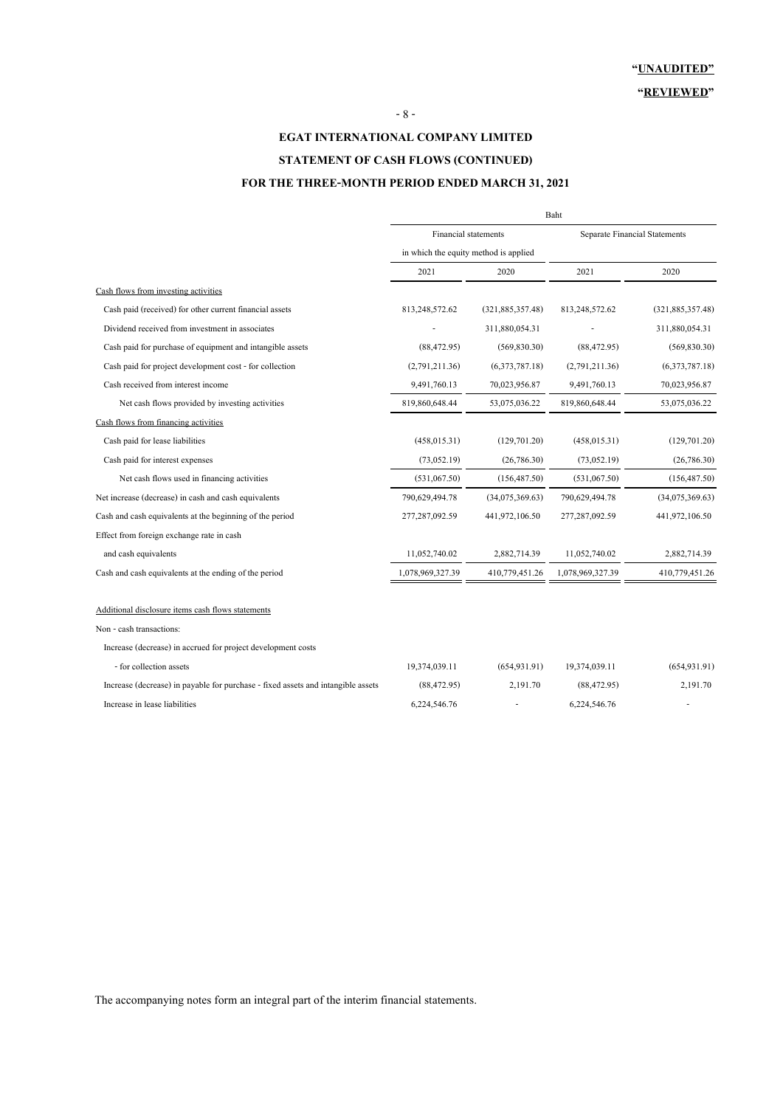## **EGAT INTERNATIONAL COMPANY LIMITED STATEMENT OF CASH FLOWS (CONTINUED)**

### **FOR THE THREE-MONTH PERIOD ENDED MARCH 31, 2021**

|                                                                                  | Baht                                  |                    |                                      |                    |  |
|----------------------------------------------------------------------------------|---------------------------------------|--------------------|--------------------------------------|--------------------|--|
|                                                                                  | Financial statements                  |                    | <b>Separate Financial Statements</b> |                    |  |
|                                                                                  | in which the equity method is applied |                    |                                      |                    |  |
|                                                                                  | 2021                                  | 2020               | 2021                                 | 2020               |  |
| Cash flows from investing activities                                             |                                       |                    |                                      |                    |  |
| Cash paid (received) for other current financial assets                          | 813,248,572.62                        | (321, 885, 357.48) | 813,248,572.62                       | (321, 885, 357.48) |  |
| Dividend received from investment in associates                                  |                                       | 311,880,054.31     |                                      | 311,880,054.31     |  |
| Cash paid for purchase of equipment and intangible assets                        | (88, 472.95)                          | (569, 830.30)      | (88, 472.95)                         | (569, 830.30)      |  |
| Cash paid for project development cost - for collection                          | (2,791,211.36)                        | (6,373,787.18)     | (2,791,211.36)                       | (6,373,787.18)     |  |
| Cash received from interest income                                               | 9,491,760.13                          | 70,023,956.87      | 9,491,760.13                         | 70,023,956.87      |  |
| Net cash flows provided by investing activities                                  | 819,860,648.44                        | 53,075,036.22      | 819,860,648.44                       | 53,075,036.22      |  |
| Cash flows from financing activities                                             |                                       |                    |                                      |                    |  |
| Cash paid for lease liabilities                                                  | (458, 015.31)                         | (129, 701.20)      | (458, 015.31)                        | (129, 701.20)      |  |
| Cash paid for interest expenses                                                  | (73,052,19)                           | (26, 786, 30)      | (73, 052, 19)                        | (26, 786.30)       |  |
| Net cash flows used in financing activities                                      | (531,067.50)                          | (156, 487.50)      | (531,067.50)                         | (156, 487.50)      |  |
| Net increase (decrease) in cash and cash equivalents                             | 790,629,494.78                        | (34,075,369.63)    | 790,629,494.78                       | (34,075,369.63)    |  |
| Cash and cash equivalents at the beginning of the period                         | 277,287,092.59                        | 441,972,106.50     | 277,287,092.59                       | 441,972,106.50     |  |
| Effect from foreign exchange rate in cash                                        |                                       |                    |                                      |                    |  |
| and cash equivalents                                                             | 11,052,740.02                         | 2,882,714.39       | 11,052,740.02                        | 2,882,714.39       |  |
| Cash and cash equivalents at the ending of the period                            | 1,078,969,327.39                      | 410,779,451.26     | 1,078,969,327.39                     | 410,779,451.26     |  |
| Additional disclosure items cash flows statements                                |                                       |                    |                                      |                    |  |
| Non - cash transactions:                                                         |                                       |                    |                                      |                    |  |
| Increase (decrease) in accrued for project development costs                     |                                       |                    |                                      |                    |  |
| - for collection assets                                                          | 19,374,039.11                         | (654, 931, 91)     | 19,374,039.11                        | (654, 931.91)      |  |
| Increase (decrease) in payable for purchase - fixed assets and intangible assets | (88, 472, 95)                         | 2,191.70           | (88, 472.95)                         | 2,191.70           |  |
| Increase in lease liabilities                                                    | 6,224,546.76                          |                    | 6,224,546.76                         |                    |  |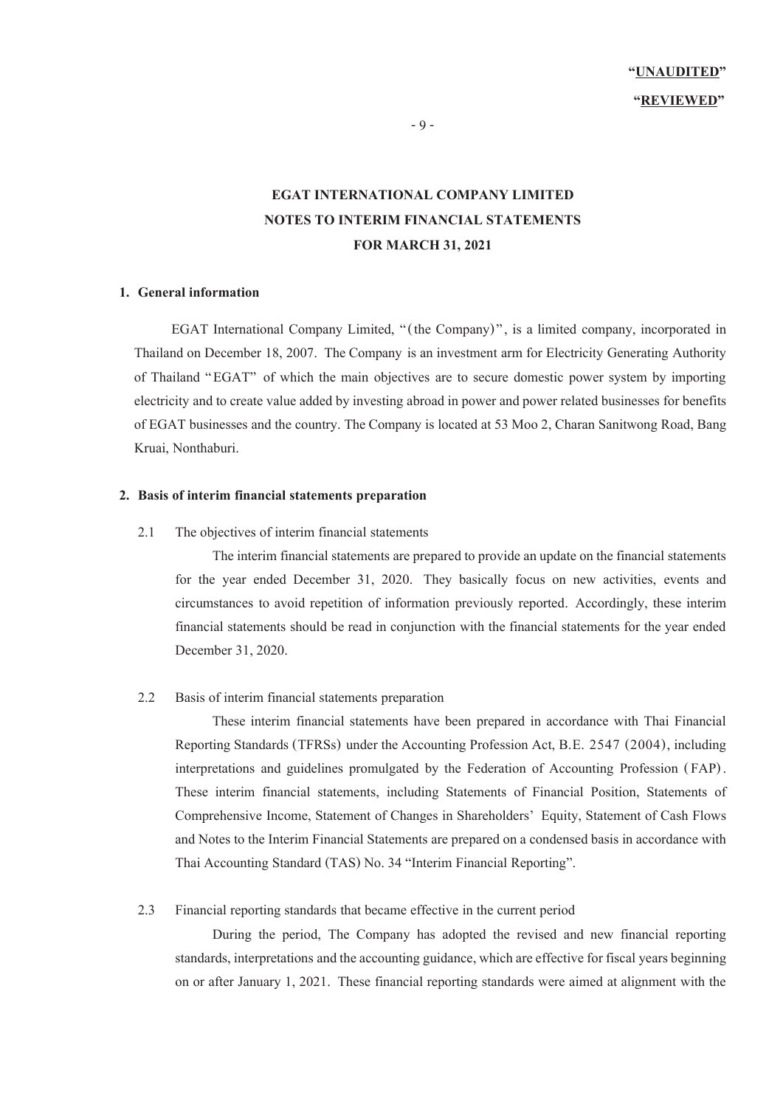- 9 -

## **EGAT INTERNATIONAL COMPANY LIMITED NOTES TO INTERIM FINANCIAL STATEMENTS FOR MARCH 31, 2021**

#### **1. General information**

EGAT International Company Limited, "(the Company)", is a limited company, incorporated in Thailand on December 18, 2007. The Company is an investment arm for Electricity Generating Authority of Thailand "EGAT" of which the main objectives are to secure domestic power system by importing electricity and to create value added by investing abroad in power and power related businesses for benefits of EGAT businesses and the country. The Company is located at 53 Moo 2, Charan Sanitwong Road, Bang Kruai, Nonthaburi.

### **2. Basis of interim financial statements preparation**

#### 2.1 The objectives of interim financial statements

The interim financial statements are prepared to provide an update on the financial statements for the year ended December 31, 2020. They basically focus on new activities, events and circumstances to avoid repetition of information previously reported. Accordingly, these interim financial statements should be read in conjunction with the financial statements for the year ended December 31, 2020.

#### 2.2 Basis of interim financial statements preparation

These interim financial statements have been prepared in accordance with Thai Financial Reporting Standards (TFRSs) under the Accounting Profession Act, B.E. 2547 (2004), including interpretations and guidelines promulgated by the Federation of Accounting Profession (FAP) . These interim financial statements, including Statements of Financial Position, Statements of Comprehensive Income, Statement of Changes in Shareholders' Equity, Statement of Cash Flows and Notes to the Interim Financial Statements are prepared on a condensed basis in accordance with Thai Accounting Standard (TAS) No. 34 "Interim Financial Reporting".

#### 2.3 Financial reporting standards that became effective in the current period

During the period, The Company has adopted the revised and new financial reporting standards, interpretations and the accounting guidance, which are effective for fiscal years beginning on or after January 1, 2021. These financial reporting standards were aimed at alignment with the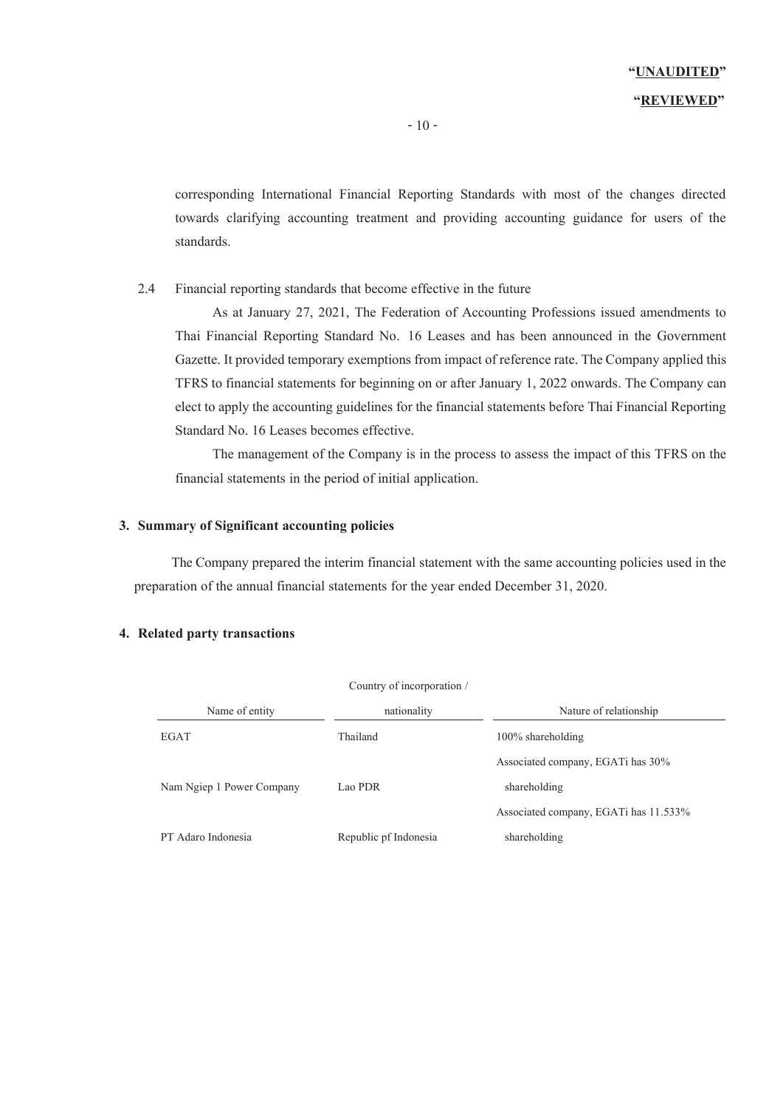corresponding International Financial Reporting Standards with most of the changes directed towards clarifying accounting treatment and providing accounting guidance for users of the standards.

### 2.4 Financial reporting standards that become effective in the future

As at January 27, 2021, The Federation of Accounting Professions issued amendments to Thai Financial Reporting Standard No. 16 Leases and has been announced in the Government Gazette. It provided temporary exemptions from impact of reference rate. The Company applied this TFRS to financial statements for beginning on or after January 1, 2022 onwards. The Company can elect to apply the accounting guidelines for the financial statements before Thai Financial Reporting Standard No. 16 Leases becomes effective.

The management of the Company is in the process to assess the impact of this TFRS on the financial statements in the period of initial application.

### **3. Summary of Significant accounting policies**

The Company prepared the interim financial statement with the same accounting policies used in the preparation of the annual financial statements for the year ended December 31, 2020.

| Country of incorporation / |                       |                                       |  |  |
|----------------------------|-----------------------|---------------------------------------|--|--|
| Name of entity             | nationality           | Nature of relationship                |  |  |
| <b>EGAT</b>                | Thailand              | $100\%$ shareholding                  |  |  |
|                            |                       | Associated company, EGATi has $30\%$  |  |  |
| Nam Ngiep 1 Power Company  | Lao PDR               | shareholding                          |  |  |
|                            |                       | Associated company, EGATi has 11.533% |  |  |
| PT Adaro Indonesia         | Republic pf Indonesia | shareholding                          |  |  |

### **4. Related party transactions**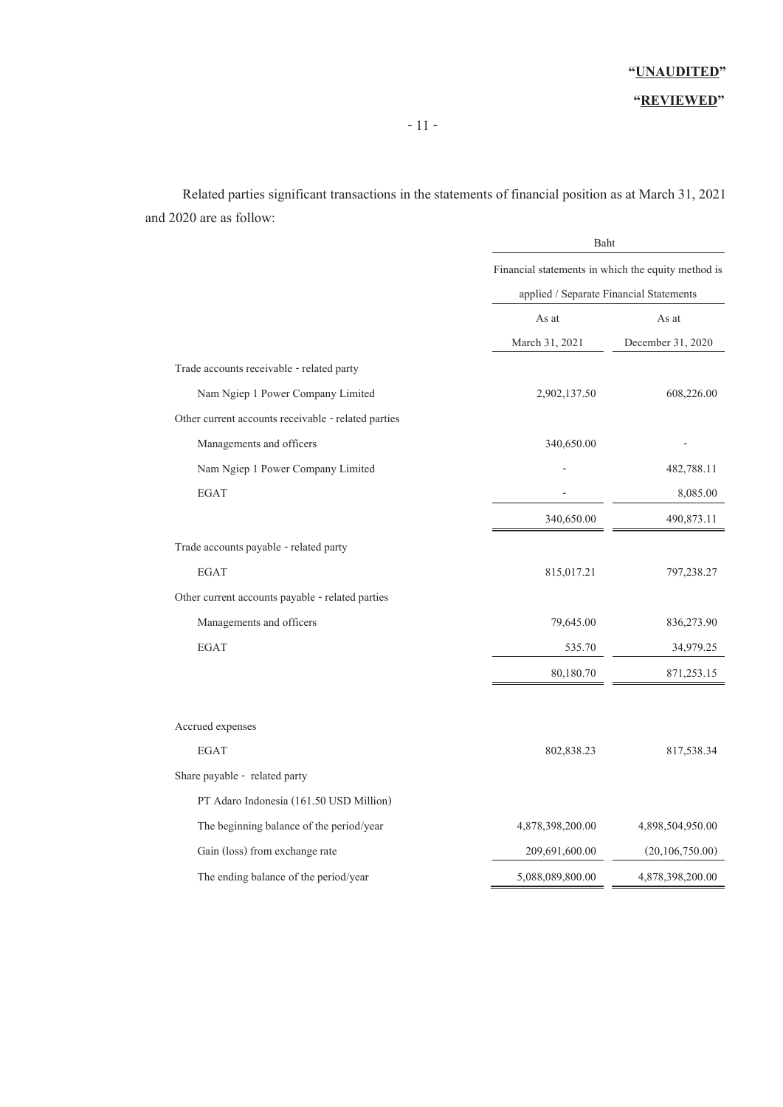### **"REVIEWED"**

Related parties significant transactions in the statements of financial position as at March 31, 2021 and 2020 are as follow:

|                                                     | Baht                                               |                                         |  |  |
|-----------------------------------------------------|----------------------------------------------------|-----------------------------------------|--|--|
|                                                     | Financial statements in which the equity method is |                                         |  |  |
|                                                     |                                                    | applied / Separate Financial Statements |  |  |
|                                                     | As at                                              | As at                                   |  |  |
|                                                     | March 31, 2021                                     | December 31, 2020                       |  |  |
| Trade accounts receivable - related party           |                                                    |                                         |  |  |
| Nam Ngiep 1 Power Company Limited                   | 2,902,137.50                                       | 608,226.00                              |  |  |
| Other current accounts receivable - related parties |                                                    |                                         |  |  |
| Managements and officers                            | 340,650.00                                         |                                         |  |  |
| Nam Ngiep 1 Power Company Limited                   |                                                    | 482,788.11                              |  |  |
| <b>EGAT</b>                                         |                                                    | 8,085.00                                |  |  |
|                                                     | 340,650.00                                         | 490,873.11                              |  |  |
| Trade accounts payable - related party              |                                                    |                                         |  |  |
| <b>EGAT</b>                                         | 815,017.21                                         | 797,238.27                              |  |  |
| Other current accounts payable - related parties    |                                                    |                                         |  |  |
| Managements and officers                            | 79,645.00                                          | 836,273.90                              |  |  |
| EGAT                                                | 535.70                                             | 34,979.25                               |  |  |
|                                                     | 80,180.70                                          | 871,253.15                              |  |  |
| Accrued expenses                                    |                                                    |                                         |  |  |
| <b>EGAT</b>                                         | 802,838.23                                         | 817,538.34                              |  |  |
| Share payable - related party                       |                                                    |                                         |  |  |
| PT Adaro Indonesia (161.50 USD Million)             |                                                    |                                         |  |  |
| The beginning balance of the period/year            | 4,878,398,200.00                                   | 4,898,504,950.00                        |  |  |
| Gain (loss) from exchange rate                      | 209,691,600.00                                     | (20,106,750.00)                         |  |  |
| The ending balance of the period/year               | 5,088,089,800.00                                   | 4,878,398,200.00                        |  |  |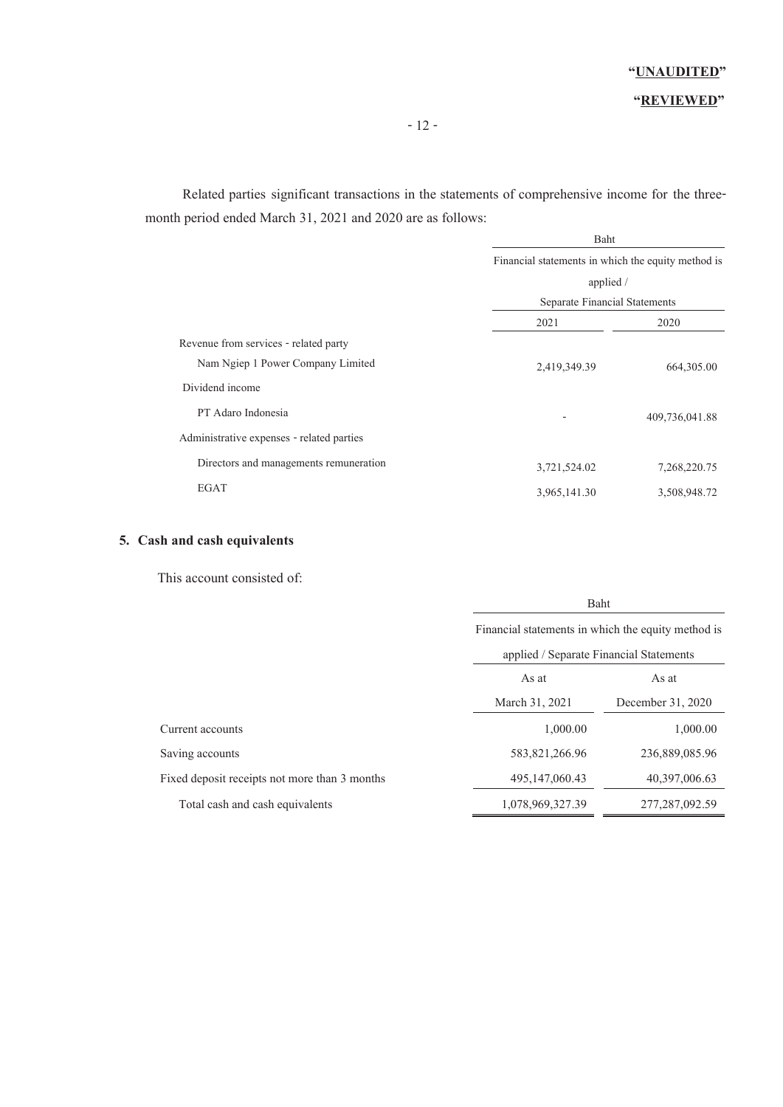### **"REVIEWED"**

Related parties significant transactions in the statements of comprehensive income for the threemonth period ended March 31, 2021 and 2020 are as follows:

|                                           | Baht                                               |                |  |  |  |
|-------------------------------------------|----------------------------------------------------|----------------|--|--|--|
|                                           | Financial statements in which the equity method is |                |  |  |  |
|                                           | applied /                                          |                |  |  |  |
|                                           | Separate Financial Statements                      |                |  |  |  |
|                                           | 2021                                               | 2020           |  |  |  |
| Revenue from services - related party     |                                                    |                |  |  |  |
| Nam Ngiep 1 Power Company Limited         | 2,419,349.39                                       | 664, 305.00    |  |  |  |
| Dividend income                           |                                                    |                |  |  |  |
| PT Adaro Indonesia                        |                                                    | 409,736,041.88 |  |  |  |
| Administrative expenses - related parties |                                                    |                |  |  |  |
| Directors and managements remuneration    | 3,721,524.02                                       | 7,268,220.75   |  |  |  |
| EGAT                                      | 3,965,141.30                                       | 3,508,948.72   |  |  |  |

### **5. Cash and cash equivalents**

This account consisted of:

|                                               | Baht                                               |                   |  |  |
|-----------------------------------------------|----------------------------------------------------|-------------------|--|--|
|                                               | Financial statements in which the equity method is |                   |  |  |
|                                               | applied / Separate Financial Statements            |                   |  |  |
|                                               | As at<br>As at                                     |                   |  |  |
|                                               | March 31, 2021                                     | December 31, 2020 |  |  |
| Current accounts                              | 1,000.00                                           | 1,000.00          |  |  |
| Saving accounts                               | 583, 821, 266. 96                                  | 236,889,085.96    |  |  |
| Fixed deposit receipts not more than 3 months | 495, 147, 060. 43                                  | 40,397,006.63     |  |  |
| Total cash and cash equivalents               | 1,078,969,327.39                                   | 277, 287, 092. 59 |  |  |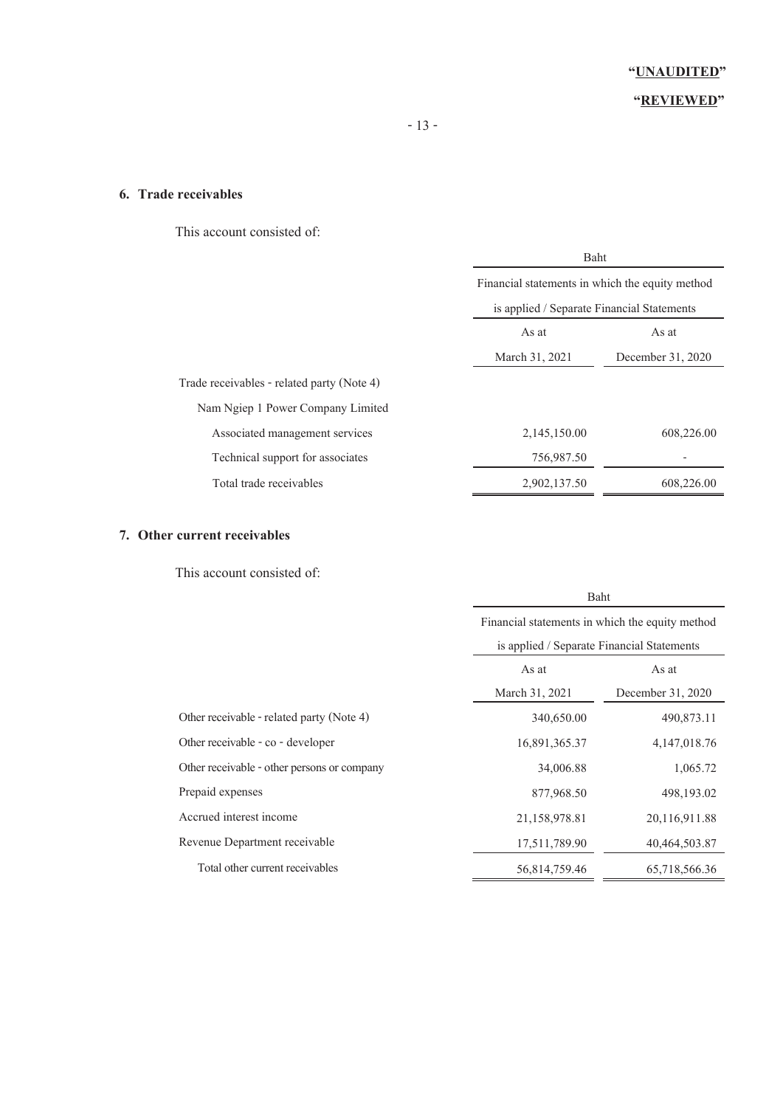### **"REVIEWED"**

### **6. Trade receivables**

This account consisted of:

|                                            | Baht                                            |                   |  |
|--------------------------------------------|-------------------------------------------------|-------------------|--|
|                                            | Financial statements in which the equity method |                   |  |
|                                            | is applied / Separate Financial Statements      |                   |  |
|                                            | As at<br>As at                                  |                   |  |
|                                            | March 31, 2021                                  | December 31, 2020 |  |
| Trade receivables - related party (Note 4) |                                                 |                   |  |
| Nam Ngiep 1 Power Company Limited          |                                                 |                   |  |
| Associated management services             | 2,145,150.00                                    | 608,226.00        |  |
| Technical support for associates           | 756,987.50                                      |                   |  |
| Total trade receivables                    | 2,902,137.50                                    | 608,226.00        |  |

### **7. Other current receivables**

This account consisted of:

|                                             | Baht                                            |                   |  |
|---------------------------------------------|-------------------------------------------------|-------------------|--|
|                                             | Financial statements in which the equity method |                   |  |
|                                             | is applied / Separate Financial Statements      |                   |  |
|                                             | As at<br>As at                                  |                   |  |
|                                             | March 31, 2021                                  | December 31, 2020 |  |
| Other receivable - related party (Note 4)   | 340,650.00                                      | 490,873.11        |  |
| Other receivable - co - developer           | 16,891,365.37                                   | 4, 147, 018. 76   |  |
| Other receivable - other persons or company | 34,006.88                                       | 1,065.72          |  |
| Prepaid expenses                            | 877,968.50                                      | 498,193.02        |  |
| Accrued interest income                     | 21,158,978.81                                   | 20,116,911.88     |  |
| Revenue Department receivable               | 17,511,789.90                                   | 40,464,503.87     |  |
| Total other current receivables             | 56,814,759.46                                   | 65,718,566.36     |  |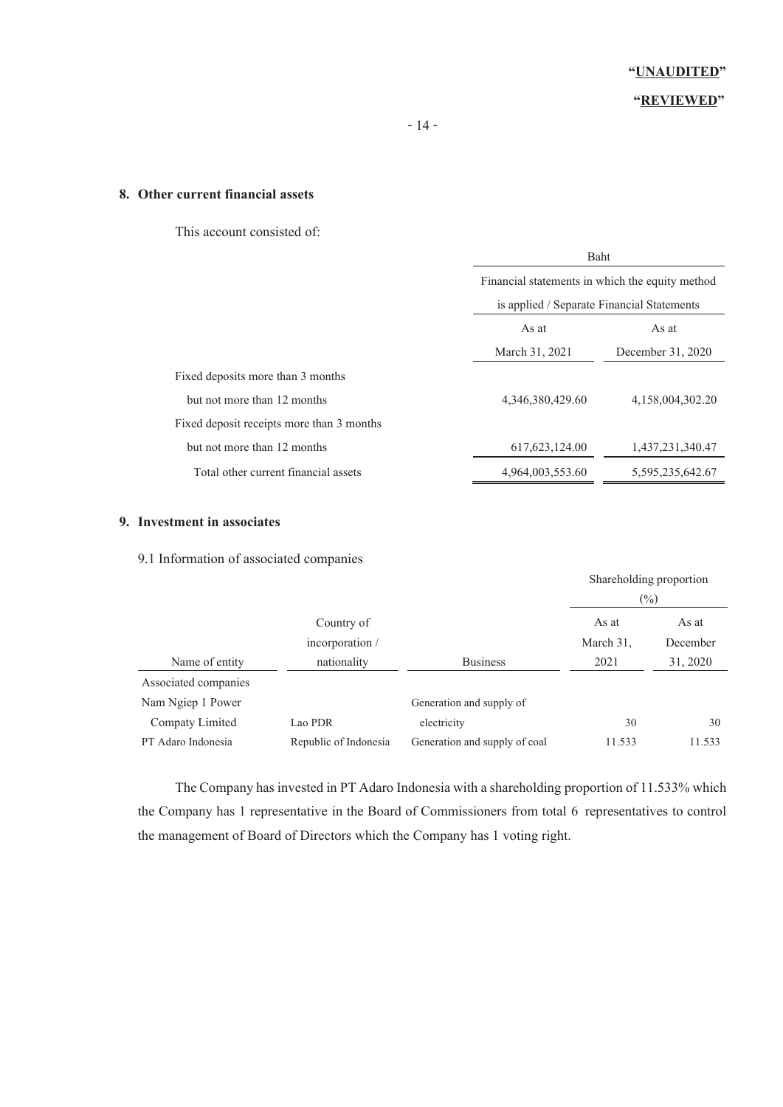### **"REVIEWED"**

### **8. Other current financial assets**

This account consisted of:

|                                           |                                            | Baht                                            |  |  |
|-------------------------------------------|--------------------------------------------|-------------------------------------------------|--|--|
|                                           |                                            | Financial statements in which the equity method |  |  |
|                                           | is applied / Separate Financial Statements |                                                 |  |  |
|                                           | As at                                      | As at                                           |  |  |
|                                           | March 31, 2021                             | December 31, 2020                               |  |  |
| Fixed deposits more than 3 months         |                                            |                                                 |  |  |
| but not more than 12 months               | 4,346,380,429.60                           | 4,158,004,302.20                                |  |  |
| Fixed deposit receipts more than 3 months |                                            |                                                 |  |  |
| but not more than 12 months               | 617, 623, 124.00                           | 1,437,231,340.47                                |  |  |
| Total other current financial assets      | 4,964,003,553.60                           | 5,595,235,642.67                                |  |  |

### **9. Investment in associates**

9.1 Information of associated companies

|                      |                       |                               | Shareholding proportion<br>$\left(\frac{0}{0}\right)$ |          |
|----------------------|-----------------------|-------------------------------|-------------------------------------------------------|----------|
|                      | Country of            |                               | As at                                                 | As at    |
|                      | incorporation /       |                               | March 31,                                             | December |
| Name of entity       | nationality           | <b>Business</b>               | 2021                                                  | 31, 2020 |
| Associated companies |                       |                               |                                                       |          |
| Nam Ngiep 1 Power    |                       | Generation and supply of      |                                                       |          |
| Compaty Limited      | Lao PDR               | electricity                   | 30                                                    | 30       |
| PT Adaro Indonesia   | Republic of Indonesia | Generation and supply of coal | 11.533                                                | 11.533   |

The Company has invested in PT Adaro Indonesia with a shareholding proportion of 11.533% which the Company has 1 representative in the Board of Commissioners from total 6 representatives to control the management of Board of Directors which the Company has 1 voting right.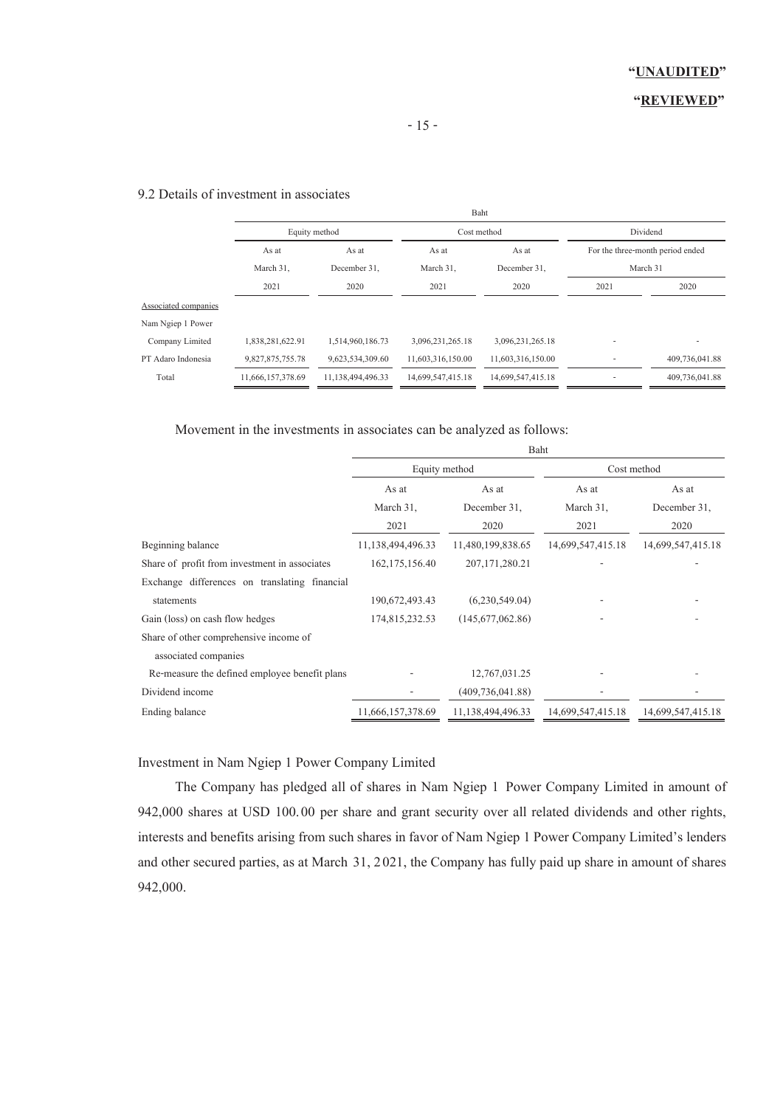## 9.2 Details of investment in associates

|                   |                   |                   |                   |                     | Dividend                         |
|-------------------|-------------------|-------------------|-------------------|---------------------|----------------------------------|
| As at             | As at             | As at             | As at             |                     | For the three-month period ended |
| March 31,         | December 31,      | March 31,         | December 31,      |                     |                                  |
| 2021              | 2020              | 2021              | 2020              | 2021                | 2020                             |
|                   |                   |                   |                   |                     |                                  |
|                   |                   |                   |                   |                     |                                  |
| 1,838,281,622.91  | 1,514,960,186.73  | 3,096,231,265.18  | 3,096,231,265.18  |                     |                                  |
| 9,827,875,755.78  | 9,623,534,309.60  | 11,603,316,150.00 | 11,603,316,150.00 |                     | 409,736,041.88                   |
| 11,666,157,378.69 | 11,138,494,496.33 | 14,699,547,415.18 | 14,699,547,415.18 |                     | 409,736,041.88                   |
|                   |                   | Equity method     |                   | Baht<br>Cost method | March 31                         |

Movement in the investments in associates can be analyzed as follows:

|                                               | Baht              |                    |                   |                   |
|-----------------------------------------------|-------------------|--------------------|-------------------|-------------------|
|                                               | Equity method     |                    |                   | Cost method       |
|                                               | As at<br>As at    |                    | As at             | As at             |
|                                               | March 31,         | December 31,       | March 31,         | December 31,      |
|                                               | 2021              | 2020               | 2021              | 2020              |
| Beginning balance                             | 11,138,494,496.33 | 11,480,199,838.65  | 14,699,547,415.18 | 14,699,547,415.18 |
| Share of profit from investment in associates | 162, 175, 156.40  | 207, 171, 280. 21  |                   |                   |
| Exchange differences on translating financial |                   |                    |                   |                   |
| statements                                    | 190,672,493.43    | (6,230,549.04)     |                   |                   |
| Gain (loss) on cash flow hedges               | 174,815,232.53    | (145,677,062.86)   |                   |                   |
| Share of other comprehensive income of        |                   |                    |                   |                   |
| associated companies                          |                   |                    |                   |                   |
| Re-measure the defined employee benefit plans |                   | 12,767,031.25      |                   |                   |
| Dividend income                               |                   | (409, 736, 041.88) |                   |                   |
| Ending balance                                | 11,666,157,378.69 | 11,138,494,496.33  | 14,699,547,415.18 | 14,699,547,415.18 |

Investment in Nam Ngiep 1 Power Company Limited

The Company has pledged all of shares in Nam Ngiep 1 Power Company Limited in amount of 942,000 shares at USD 100.00 per share and grant security over all related dividends and other rights, interests and benefits arising from such shares in favor of Nam Ngiep 1 Power Company Limited's lenders and other secured parties, as at March 31, 2021, the Company has fully paid up share in amount of shares 942,000.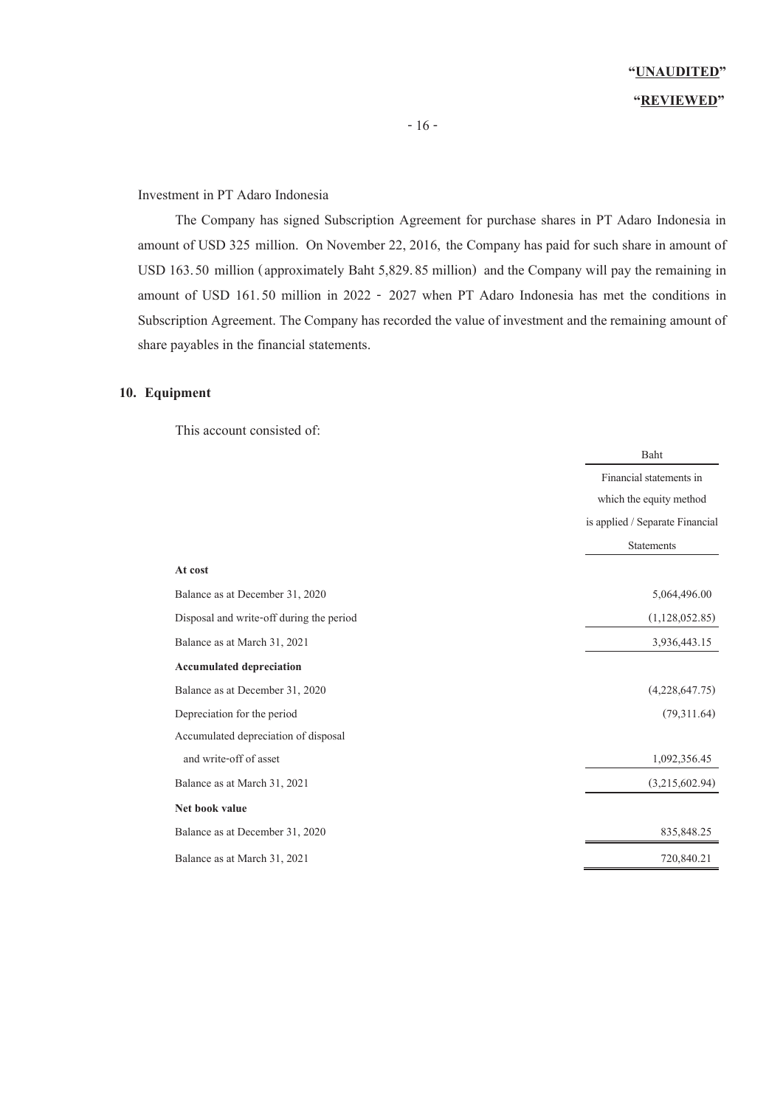## **"UNAUDITED" "REVIEWED"**

### Investment in PT Adaro Indonesia

The Company has signed Subscription Agreement for purchase shares in PT Adaro Indonesia in amount of USD 325 million. On November 22, 2016, the Company has paid for such share in amount of USD 163.50 million (approximately Baht 5,829.85 million) and the Company will pay the remaining in amount of USD 161.50 million in 2022 - 2027 when PT Adaro Indonesia has met the conditions in Subscription Agreement. The Company has recorded the value of investment and the remaining amount of share payables in the financial statements.

### **10. Equipment**

This account consisted of:

|                                          | Baht                            |
|------------------------------------------|---------------------------------|
|                                          | Financial statements in         |
|                                          | which the equity method         |
|                                          | is applied / Separate Financial |
|                                          | <b>Statements</b>               |
| At cost                                  |                                 |
| Balance as at December 31, 2020          | 5,064,496.00                    |
| Disposal and write-off during the period | (1,128,052.85)                  |
| Balance as at March 31, 2021             | 3,936,443.15                    |
| <b>Accumulated depreciation</b>          |                                 |
| Balance as at December 31, 2020          | (4,228,647.75)                  |
| Depreciation for the period              | (79,311.64)                     |
| Accumulated depreciation of disposal     |                                 |
| and write-off of asset                   | 1,092,356.45                    |
| Balance as at March 31, 2021             | (3,215,602.94)                  |
| Net book value                           |                                 |
| Balance as at December 31, 2020          | 835, 848. 25                    |
| Balance as at March 31, 2021             | 720,840.21                      |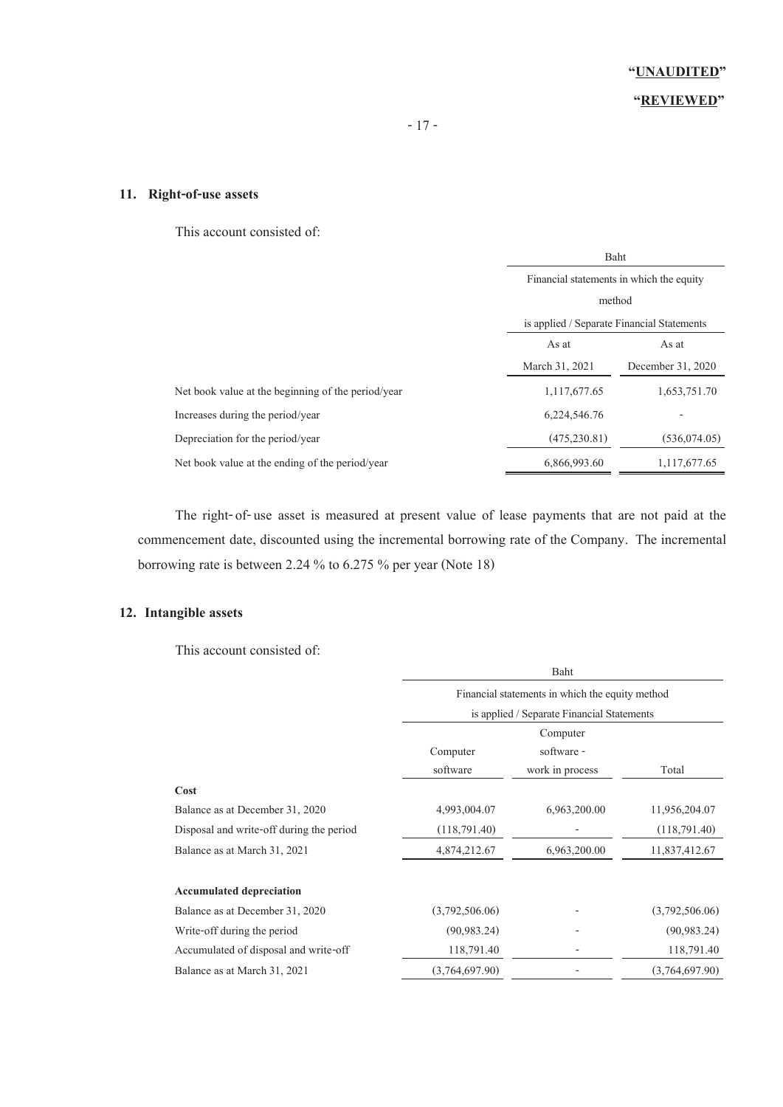### **"REVIEWED"**

### **11. Right-of-use assets**

This account consisted of:

|                                                    | Baht                                       |                   |  |
|----------------------------------------------------|--------------------------------------------|-------------------|--|
|                                                    | Financial statements in which the equity   |                   |  |
|                                                    | method                                     |                   |  |
|                                                    | is applied / Separate Financial Statements |                   |  |
|                                                    | As at<br>As at                             |                   |  |
|                                                    | March 31, 2021                             | December 31, 2020 |  |
| Net book value at the beginning of the period/year | 1, 117, 677. 65                            | 1,653,751.70      |  |
| Increases during the period/year                   | 6,224,546.76                               |                   |  |
| Depreciation for the period/year                   | (475, 230.81)                              | (536, 074, 05)    |  |
| Net book value at the ending of the period/year    | 6,866,993.60                               | 1,117,677.65      |  |

The right-of-use asset is measured at present value of lease payments that are not paid at the commencement date, discounted using the incremental borrowing rate of the Company. The incremental borrowing rate is between 2.24 % to 6.275 % per year (Note 18)

### **12. Intangible assets**

This account consisted of:

|                                          | Baht                                            |                 |                |  |
|------------------------------------------|-------------------------------------------------|-----------------|----------------|--|
|                                          | Financial statements in which the equity method |                 |                |  |
|                                          | is applied / Separate Financial Statements      |                 |                |  |
|                                          | Computer                                        |                 |                |  |
|                                          | software -<br>Computer                          |                 |                |  |
|                                          | software                                        | work in process | Total          |  |
| Cost                                     |                                                 |                 |                |  |
| Balance as at December 31, 2020          | 4,993,004.07                                    | 6,963,200.00    | 11,956,204.07  |  |
| Disposal and write-off during the period | (118,791.40)                                    |                 | (118,791,40)   |  |
| Balance as at March 31, 2021             | 4,874,212.67                                    | 6,963,200.00    | 11,837,412.67  |  |
|                                          |                                                 |                 |                |  |
| <b>Accumulated depreciation</b>          |                                                 |                 |                |  |
| Balance as at December 31, 2020          | (3,792,506.06)                                  |                 | (3,792,506.06) |  |
| Write-off during the period              | (90, 983, 24)                                   |                 | (90, 983, 24)  |  |
| Accumulated of disposal and write-off    | 118,791.40                                      |                 | 118,791.40     |  |
| Balance as at March 31, 2021             | (3,764,697,90)                                  |                 | (3,764,697,90) |  |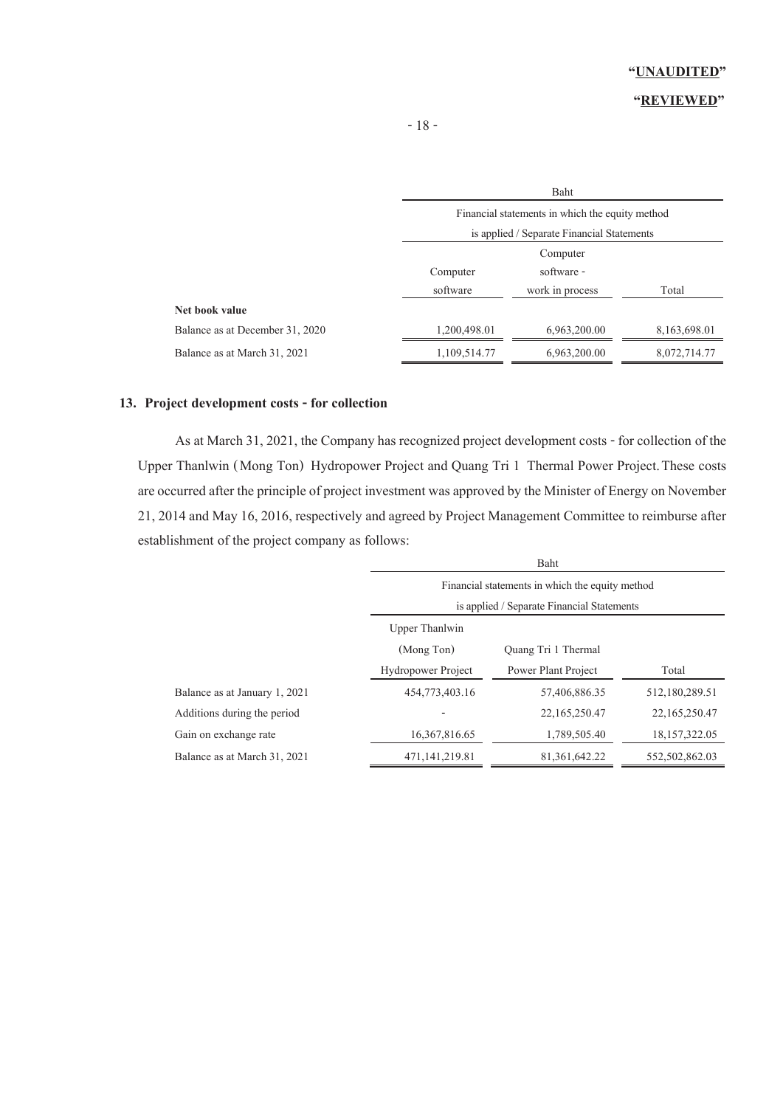### **"REVIEWED"**

|                                 | Baht                                            |                 |              |  |
|---------------------------------|-------------------------------------------------|-----------------|--------------|--|
|                                 | Financial statements in which the equity method |                 |              |  |
|                                 | is applied / Separate Financial Statements      |                 |              |  |
|                                 | Computer                                        |                 |              |  |
|                                 | Computer                                        | software -      |              |  |
|                                 | software                                        | work in process | Total        |  |
| Net book value                  |                                                 |                 |              |  |
| Balance as at December 31, 2020 | 1,200,498.01                                    | 6,963,200.00    | 8,163,698.01 |  |
| Balance as at March 31, 2021    | 1,109,514.77                                    | 6,963,200.00    | 8,072,714.77 |  |

### **13. Project development costs - for collection**

As at March 31, 2021, the Company has recognized project development costs - for collection of the Upper Thanlwin (Mong Ton) Hydropower Project and Quang Tri 1 Thermal Power Project.These costs are occurred after the principle of project investment was approved by the Minister of Energy on November 21, 2014and May 16, 2016, respectively and agreed by Project Management Committee to reimburse after establishment of the project company as follows:

|                               | Baht                                            |                     |                  |
|-------------------------------|-------------------------------------------------|---------------------|------------------|
|                               | Financial statements in which the equity method |                     |                  |
|                               | is applied / Separate Financial Statements      |                     |                  |
|                               | Upper Thanlwin                                  |                     |                  |
|                               | (Mong Ton)                                      | Quang Tri 1 Thermal |                  |
|                               | <b>Hydropower Project</b>                       | Power Plant Project | Total            |
| Balance as at January 1, 2021 | 454,773,403.16                                  | 57,406,886.35       | 512,180,289.51   |
| Additions during the period   |                                                 | 22, 165, 250, 47    | 22, 165, 250, 47 |
| Gain on exchange rate         | 16,367,816.65                                   | 1,789,505.40        | 18, 157, 322, 05 |
| Balance as at March 31, 2021  | 471, 141, 219.81                                | 81, 361, 642, 22    | 552,502,862.03   |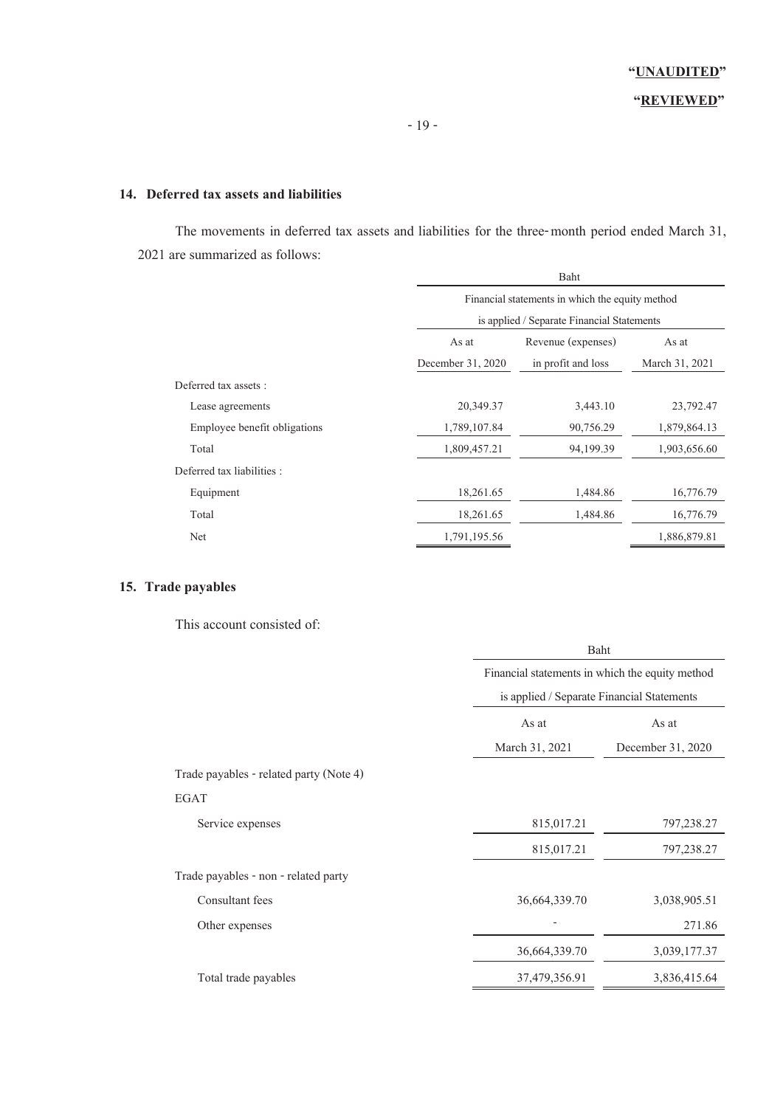### **14. Deferred tax assets and liabilities**

The movements in deferred tax assets and liabilities for the three-month period ended March 31, 2021 are summarized as follows:

|                              |                   | Baht                                            |                |  |  |
|------------------------------|-------------------|-------------------------------------------------|----------------|--|--|
|                              |                   | Financial statements in which the equity method |                |  |  |
|                              |                   | is applied / Separate Financial Statements      |                |  |  |
|                              | As at             | Revenue (expenses)<br>As at                     |                |  |  |
|                              | December 31, 2020 | in profit and loss                              | March 31, 2021 |  |  |
| Deferred tax assets :        |                   |                                                 |                |  |  |
| Lease agreements             | 20,349.37         | 3,443.10                                        | 23,792.47      |  |  |
| Employee benefit obligations | 1,789,107.84      | 90,756.29                                       | 1,879,864.13   |  |  |
| Total                        | 1,809,457.21      | 94,199.39                                       | 1,903,656.60   |  |  |
| Deferred tax liabilities :   |                   |                                                 |                |  |  |
| Equipment                    | 18,261.65         | 1,484.86                                        | 16,776.79      |  |  |
| Total                        | 18,261.65         | 1,484.86                                        | 16,776.79      |  |  |
| Net                          | 1,791,195.56      |                                                 | 1,886,879.81   |  |  |
|                              |                   |                                                 |                |  |  |

### **15. Trade payables**

This account consisted of:

|                                         |                | Baht                                            |  |  |
|-----------------------------------------|----------------|-------------------------------------------------|--|--|
|                                         |                | Financial statements in which the equity method |  |  |
|                                         |                | is applied / Separate Financial Statements      |  |  |
|                                         | As at          | As at                                           |  |  |
|                                         | March 31, 2021 | December 31, 2020                               |  |  |
| Trade payables - related party (Note 4) |                |                                                 |  |  |
| <b>EGAT</b>                             |                |                                                 |  |  |
| Service expenses                        | 815,017.21     | 797,238.27                                      |  |  |
|                                         | 815,017.21     | 797,238.27                                      |  |  |
| Trade payables - non - related party    |                |                                                 |  |  |
| Consultant fees                         | 36,664,339.70  | 3,038,905.51                                    |  |  |
| Other expenses                          |                | 271.86                                          |  |  |
|                                         | 36,664,339.70  | 3,039,177.37                                    |  |  |
| Total trade payables                    | 37,479,356.91  | 3,836,415.64                                    |  |  |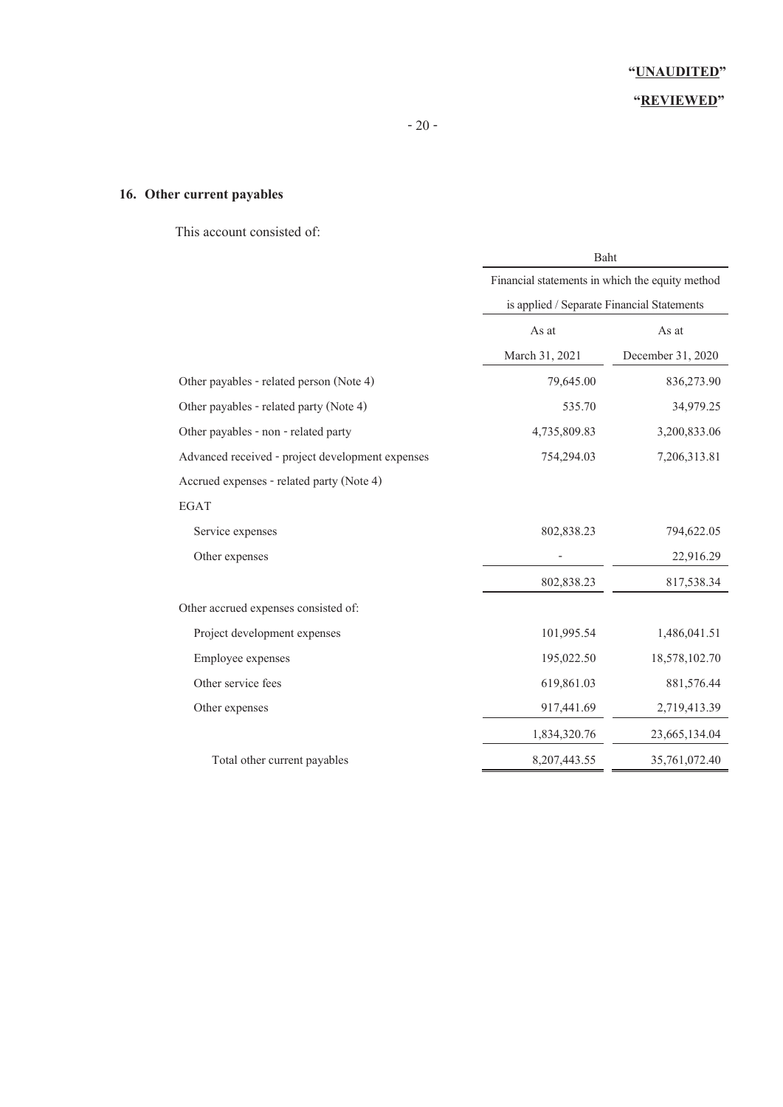### **"REVIEWED"**

### **16. Other current payables**

This account consisted of:

|                                                  | Baht                                            |                   |
|--------------------------------------------------|-------------------------------------------------|-------------------|
|                                                  | Financial statements in which the equity method |                   |
|                                                  | is applied / Separate Financial Statements      |                   |
|                                                  | As at                                           | As at             |
|                                                  | March 31, 2021                                  | December 31, 2020 |
| Other payables - related person (Note 4)         | 79,645.00                                       | 836,273.90        |
| Other payables - related party (Note 4)          | 535.70                                          | 34,979.25         |
| Other payables - non - related party             | 4,735,809.83                                    | 3,200,833.06      |
| Advanced received - project development expenses | 754,294.03                                      | 7,206,313.81      |
| Accrued expenses - related party (Note 4)        |                                                 |                   |
| <b>EGAT</b>                                      |                                                 |                   |
| Service expenses                                 | 802,838.23                                      | 794,622.05        |
| Other expenses                                   |                                                 | 22,916.29         |
|                                                  | 802,838.23                                      | 817,538.34        |
| Other accrued expenses consisted of:             |                                                 |                   |
| Project development expenses                     | 101,995.54                                      | 1,486,041.51      |
| Employee expenses                                | 195,022.50                                      | 18,578,102.70     |
| Other service fees                               | 619,861.03                                      | 881,576.44        |
| Other expenses                                   | 917,441.69                                      | 2,719,413.39      |
|                                                  | 1,834,320.76                                    | 23,665,134.04     |
| Total other current payables                     | 8,207,443.55                                    | 35,761,072.40     |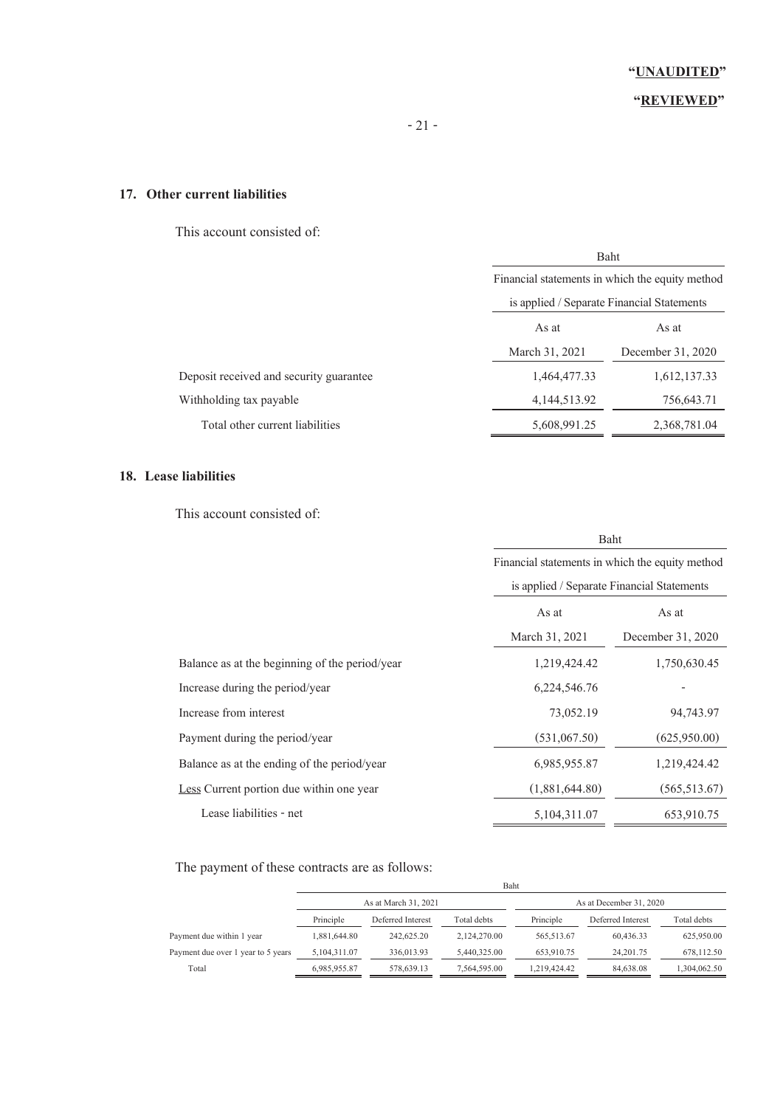### **"REVIEWED"**

### **17. Other current liabilities**

This account consisted of:

| Baht                                            |                   |  |
|-------------------------------------------------|-------------------|--|
| Financial statements in which the equity method |                   |  |
| is applied / Separate Financial Statements      |                   |  |
| As at<br>As at                                  |                   |  |
| March 31, 2021                                  | December 31, 2020 |  |
| 1,464,477.33                                    | 1,612,137.33      |  |
| 4, 144, 513. 92                                 | 756,643.71        |  |
| 5,608,991.25                                    | 2,368,781.04      |  |
|                                                 |                   |  |

### **18. Lease liabilities**

This account consisted of:

|                                                | Baht<br>Financial statements in which the equity method<br>is applied / Separate Financial Statements |                   |
|------------------------------------------------|-------------------------------------------------------------------------------------------------------|-------------------|
|                                                |                                                                                                       |                   |
|                                                |                                                                                                       |                   |
|                                                | As at                                                                                                 | As at             |
|                                                | March 31, 2021                                                                                        | December 31, 2020 |
| Balance as at the beginning of the period/year | 1,219,424.42                                                                                          | 1,750,630.45      |
| Increase during the period/year                | 6,224,546.76                                                                                          |                   |
| Increase from interest                         | 73,052.19                                                                                             | 94,743.97         |
| Payment during the period/year                 | (531,067.50)                                                                                          | (625,950.00)      |
| Balance as at the ending of the period/year    | 6,985,955.87                                                                                          | 1,219,424.42      |
| Less Current portion due within one year       | (1,881,644.80)                                                                                        | (565, 513.67)     |
| Lease liabilities - net                        | 5, 104, 311.07                                                                                        | 653,910.75        |

The payment of these contracts are as follows:

|                                    |              |                      | Baht         |              |                         |              |
|------------------------------------|--------------|----------------------|--------------|--------------|-------------------------|--------------|
|                                    |              | As at March 31, 2021 |              |              | As at December 31, 2020 |              |
|                                    | Principle    | Deferred Interest    | Total debts  | Principle    | Deferred Interest       | Total debts  |
| Payment due within 1 year          | 1,881,644.80 | 242,625.20           | 2.124.270.00 | 565,513.67   | 60.436.33               | 625,950.00   |
| Payment due over 1 year to 5 years | 5,104,311.07 | 336,013.93           | 5,440,325.00 | 653,910.75   | 24.201.75               | 678,112.50   |
| Total                              | 6,985,955.87 | 578,639.13           | 7,564,595.00 | 1.219.424.42 | 84,638.08               | 1,304,062.50 |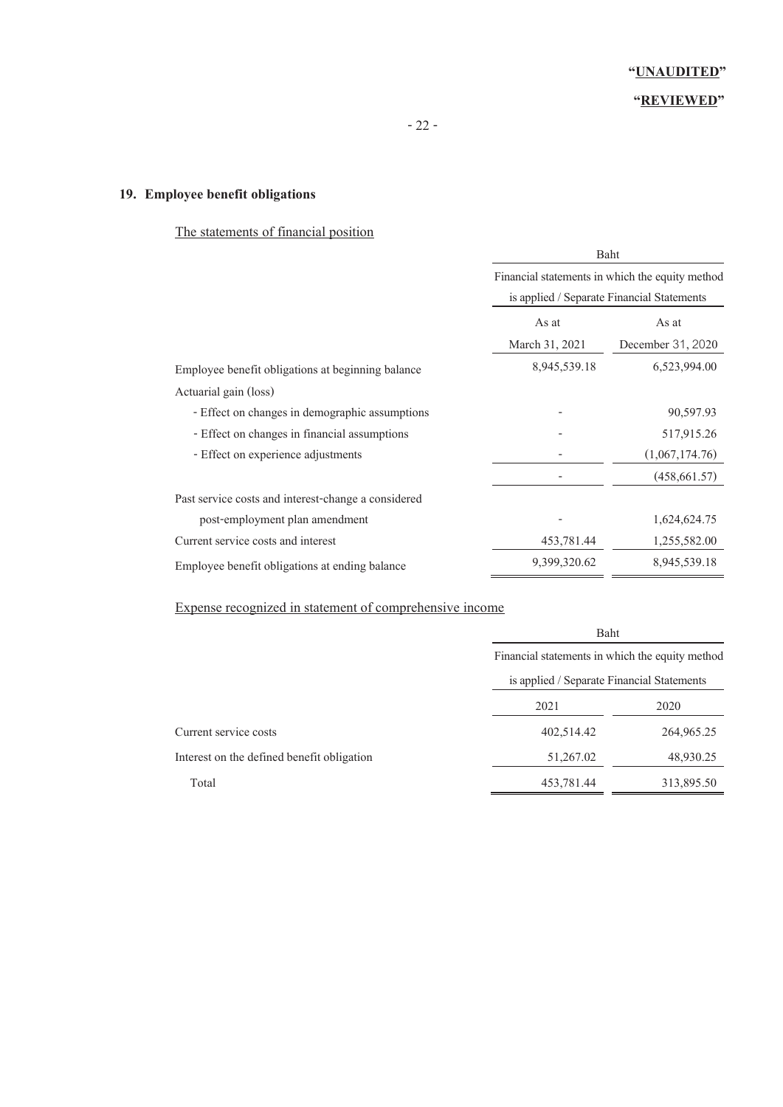### **"REVIEWED"**

### **19. Employee benefit obligations**

### The statements of financial position

|                                                     | Baht<br>Financial statements in which the equity method<br>is applied / Separate Financial Statements |                   |
|-----------------------------------------------------|-------------------------------------------------------------------------------------------------------|-------------------|
|                                                     |                                                                                                       |                   |
|                                                     |                                                                                                       |                   |
|                                                     | As at                                                                                                 | As at             |
|                                                     | March 31, 2021                                                                                        | December 31, 2020 |
| Employee benefit obligations at beginning balance   | 8,945,539.18                                                                                          | 6,523,994.00      |
| Actuarial gain (loss)                               |                                                                                                       |                   |
| - Effect on changes in demographic assumptions      |                                                                                                       | 90,597.93         |
| - Effect on changes in financial assumptions        |                                                                                                       | 517,915.26        |
| - Effect on experience adjustments                  |                                                                                                       | (1,067,174.76)    |
|                                                     |                                                                                                       | (458, 661.57)     |
| Past service costs and interest-change a considered |                                                                                                       |                   |
| post-employment plan amendment                      |                                                                                                       | 1,624,624.75      |
| Current service costs and interest                  | 453,781.44                                                                                            | 1,255,582.00      |
| Employee benefit obligations at ending balance      | 9,399,320.62                                                                                          | 8,945,539.18      |

### Expense recognized in statement of comprehensive income

|                                            | Baht<br>Financial statements in which the equity method<br>is applied / Separate Financial Statements |            |
|--------------------------------------------|-------------------------------------------------------------------------------------------------------|------------|
|                                            |                                                                                                       |            |
|                                            |                                                                                                       |            |
|                                            | 2021                                                                                                  | 2020       |
| Current service costs                      | 402,514.42                                                                                            | 264,965.25 |
| Interest on the defined benefit obligation | 51,267.02                                                                                             | 48,930.25  |
| Total                                      | 453,781.44                                                                                            | 313,895.50 |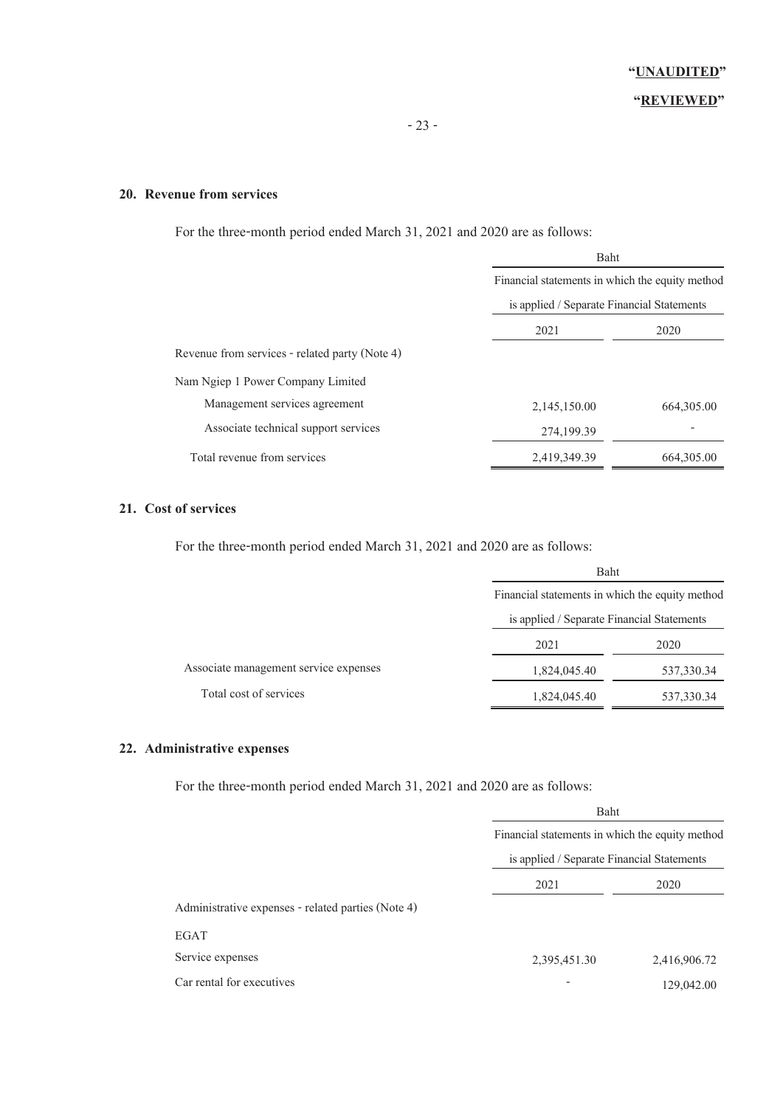### **20. Revenue from services**

For the three-month period ended March 31, 2021 and 2020 are as follows:

|                                                | Baht<br>Financial statements in which the equity method<br>is applied / Separate Financial Statements |             |
|------------------------------------------------|-------------------------------------------------------------------------------------------------------|-------------|
|                                                |                                                                                                       |             |
|                                                |                                                                                                       |             |
|                                                | 2021                                                                                                  | 2020        |
| Revenue from services - related party (Note 4) |                                                                                                       |             |
| Nam Ngiep 1 Power Company Limited              |                                                                                                       |             |
| Management services agreement                  | 2,145,150.00                                                                                          | 664, 305.00 |
| Associate technical support services           | 274,199.39                                                                                            |             |
| Total revenue from services                    | 2,419,349.39                                                                                          | 664, 305.00 |

### **21. Cost of services**

For the three-month period ended March 31, 2021 and 2020 are as follows:

|                                       | Baht                                            |            |
|---------------------------------------|-------------------------------------------------|------------|
|                                       | Financial statements in which the equity method |            |
|                                       | is applied / Separate Financial Statements      |            |
|                                       | 2021                                            | 2020       |
| Associate management service expenses | 1,824,045.40                                    | 537,330.34 |
| Total cost of services                | 1,824,045.40                                    | 537,330.34 |

### **22. Administrative expenses**

For the three-month period ended March 31, 2021 and 2020 are as follows:

| Baht<br>Financial statements in which the equity method<br>is applied / Separate Financial Statements |              |      |      |
|-------------------------------------------------------------------------------------------------------|--------------|------|------|
|                                                                                                       |              | 2021 | 2020 |
|                                                                                                       |              |      |      |
|                                                                                                       |              |      |      |
| 2,395,451.30                                                                                          | 2,416,906.72 |      |      |
|                                                                                                       | 129,042.00   |      |      |
|                                                                                                       |              |      |      |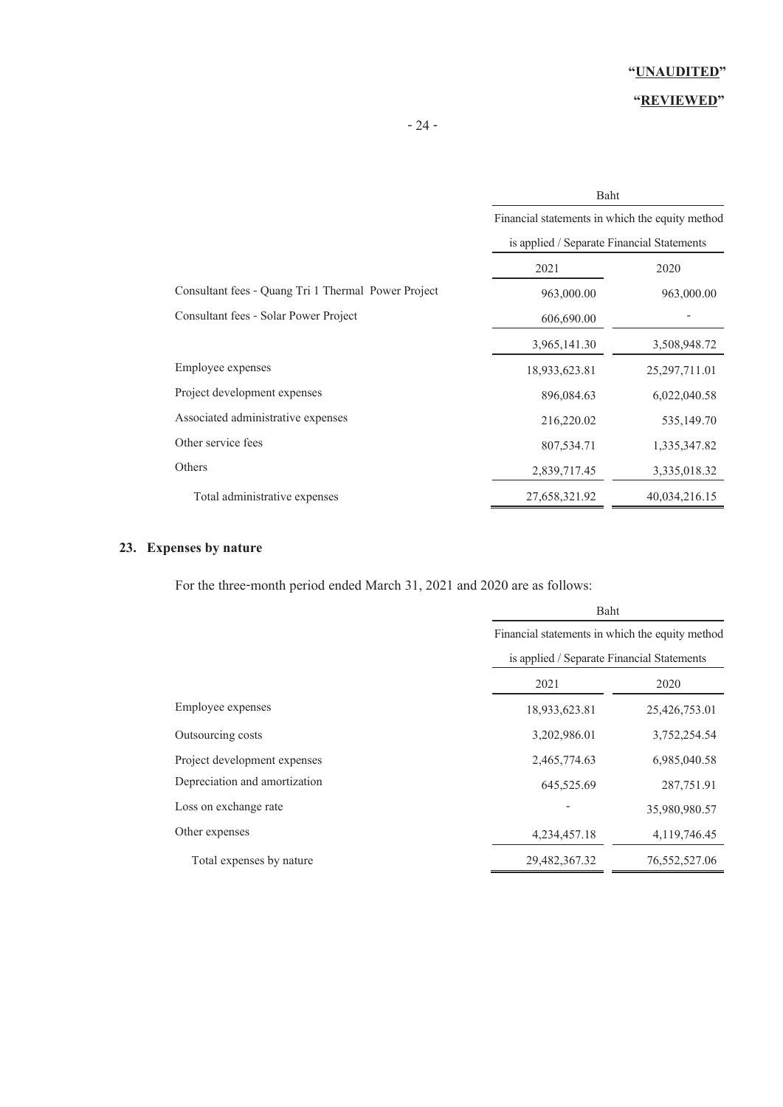### **"REVIEWED"**

| i |
|---|
|---|

|                                                     | Baht<br>Financial statements in which the equity method |                 |
|-----------------------------------------------------|---------------------------------------------------------|-----------------|
|                                                     |                                                         |                 |
|                                                     | is applied / Separate Financial Statements              |                 |
|                                                     | 2021                                                    | 2020            |
| Consultant fees - Quang Tri 1 Thermal Power Project | 963,000.00                                              | 963,000.00      |
| Consultant fees - Solar Power Project               | 606,690.00                                              |                 |
|                                                     | 3,965,141.30                                            | 3,508,948.72    |
| Employee expenses                                   | 18,933,623.81                                           | 25, 297, 711.01 |
| Project development expenses                        | 896,084.63                                              | 6,022,040.58    |
| Associated administrative expenses                  | 216,220.02                                              | 535,149.70      |
| Other service fees                                  | 807,534.71                                              | 1,335,347.82    |
| Others                                              | 2,839,717.45                                            | 3,335,018.32    |
| Total administrative expenses                       | 27,658,321.92                                           | 40,034,216.15   |

### **23. Expenses by nature**

For the three-month period ended March 31, 2021 and 2020 are as follows:

|                               | Baht<br>Financial statements in which the equity method<br>is applied / Separate Financial Statements |                 |
|-------------------------------|-------------------------------------------------------------------------------------------------------|-----------------|
|                               |                                                                                                       |                 |
|                               |                                                                                                       |                 |
|                               | 2021                                                                                                  | 2020            |
| Employee expenses             | 18,933,623.81                                                                                         | 25,426,753.01   |
| Outsourcing costs             | 3,202,986.01                                                                                          | 3,752,254.54    |
| Project development expenses  | 2,465,774.63                                                                                          | 6,985,040.58    |
| Depreciation and amortization | 645,525.69                                                                                            | 287,751.91      |
| Loss on exchange rate         |                                                                                                       | 35,980,980.57   |
| Other expenses                | 4,234,457.18                                                                                          | 4,119,746.45    |
| Total expenses by nature      | 29,482,367.32                                                                                         | 76, 552, 527.06 |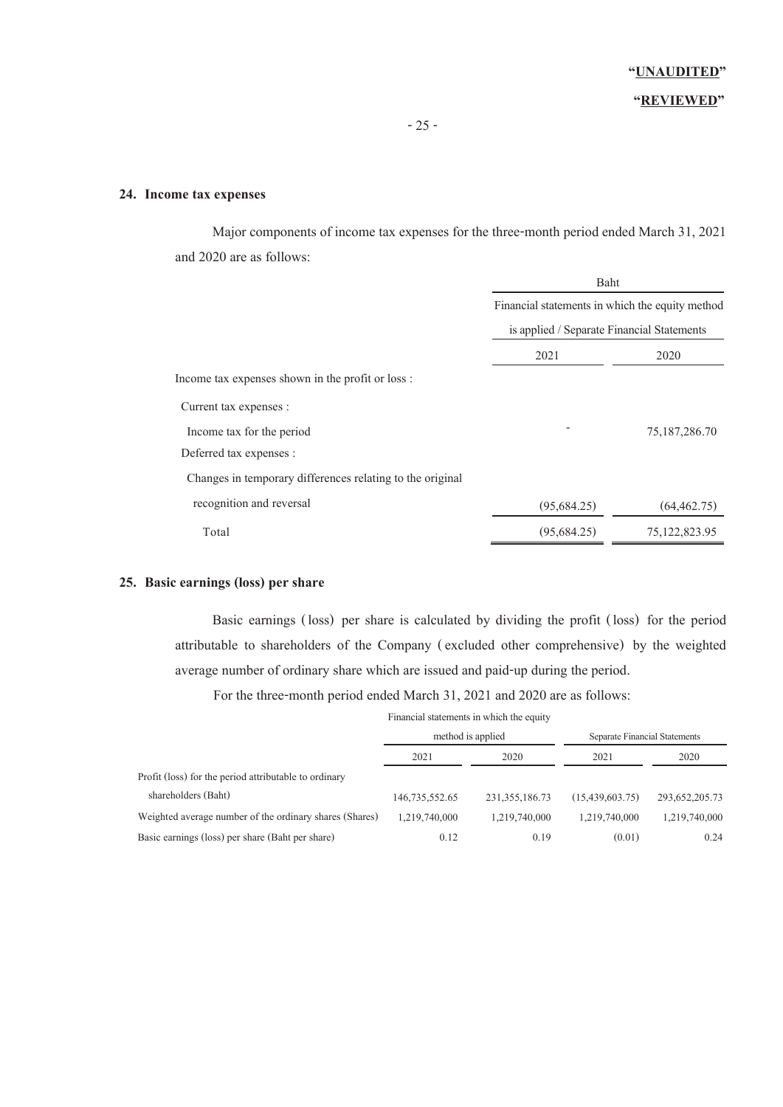### **"REVIEWED"**

#### **24. Income tax expenses**

 Major components of income tax expenses for the three-month period ended March 31, 2021 and 2020 are as follows:

|                                                           |             | Baht<br>Financial statements in which the equity method |  |  |
|-----------------------------------------------------------|-------------|---------------------------------------------------------|--|--|
|                                                           |             |                                                         |  |  |
|                                                           |             | is applied / Separate Financial Statements              |  |  |
|                                                           | 2021        | 2020                                                    |  |  |
| Income tax expenses shown in the profit or loss :         |             |                                                         |  |  |
| Current tax expenses :                                    |             |                                                         |  |  |
| Income tax for the period                                 |             | 75,187,286.70                                           |  |  |
| Deferred tax expenses :                                   |             |                                                         |  |  |
| Changes in temporary differences relating to the original |             |                                                         |  |  |
| recognition and reversal                                  | (95,684.25) | (64, 462, 75)                                           |  |  |
| Total                                                     | (95,684.25) | 75,122,823.95                                           |  |  |
|                                                           |             |                                                         |  |  |

### **25. Basic earnings (loss) per share**

 Basic earnings (loss) per share is calculated by dividing the profit (loss) for the period attributable to shareholders of the Company (excluded other comprehensive) by the weighted average number of ordinary share which are issued and paid-up during the period.

For the three-month period ended March 31, 2021 and 2020 are as follows:

|                                                         | Financial statements in which the equity |                   |                               |                |
|---------------------------------------------------------|------------------------------------------|-------------------|-------------------------------|----------------|
|                                                         | method is applied                        |                   | Separate Financial Statements |                |
|                                                         | 2021                                     | 2020              | 2021                          | 2020           |
| Profit (loss) for the period attributable to ordinary   |                                          |                   |                               |                |
| shareholders (Baht)                                     | 146,735,552.65                           | 231, 355, 186, 73 | (15, 439, 603, 75)            | 293,652,205.73 |
| Weighted average number of the ordinary shares (Shares) | 1,219,740,000                            | 1,219,740,000     | 1,219,740,000                 | 1,219,740,000  |
| Basic earnings (loss) per share (Baht per share)        | 0.12                                     | 0.19              | (0.01)                        | 0.24           |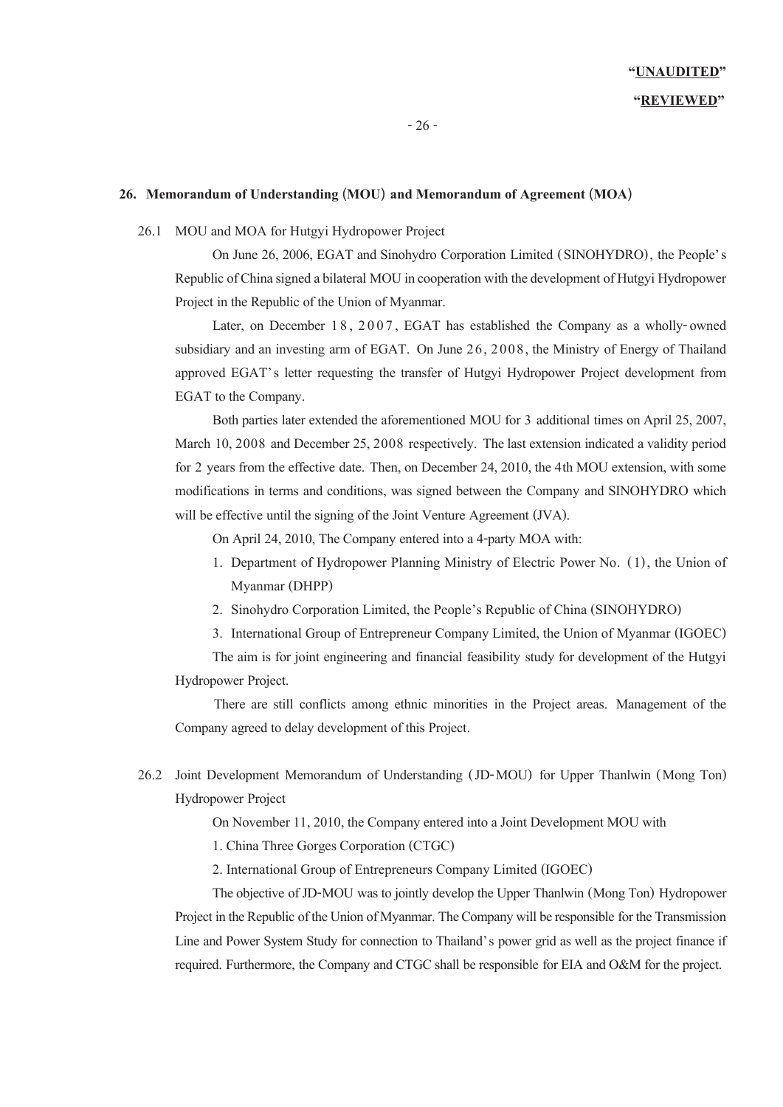### **"UNAUDITED" "REVIEWED"**

#### **26. Memorandum of Understanding (MOU) and Memorandum of Agreement (MOA)**

#### 26.1 MOU and MOA for Hutgyi Hydropower Project

On June 26, 2006, EGAT and Sinohydro Corporation Limited (SINOHYDRO), the People's Republic of China signed a bilateral MOU in cooperation with the development of Hutgyi Hydropower Project in the Republic of the Union of Myanmar.

Later, on December 18, 2007, EGAT has established the Company as a wholly-owned subsidiary and an investing arm of EGAT. On June 26, 2008, the Ministry of Energy of Thailand approved EGAT's letter requesting the transfer of Hutgyi Hydropower Project development from EGAT to the Company.

Both parties later extended the aforementioned MOU for 3 additional times on April 25, 2007, March 10, 2008 and December 25, 2008 respectively. The last extension indicated a validity period for 2 years from the effective date. Then, on December 24, 2010, the 4th MOU extension, with some modifications in terms and conditions, was signed between the Company and SINOHYDRO which will be effective until the signing of the Joint Venture Agreement (JVA).

On April 24, 2010, The Company entered into a 4-party MOA with:

- 1. Department of Hydropower Planning Ministry of Electric Power No. (1), the Union of Myanmar (DHPP)
- 2. Sinohydro Corporation Limited, the People's Republic of China (SINOHYDRO)
- 3. International Group of Entrepreneur Company Limited, the Union of Myanmar (IGOEC)

The aim is for joint engineering and financial feasibility study for development of the Hutgyi Hydropower Project.

 There are still conflicts among ethnic minorities in the Project areas. Management of the Company agreed to delay development of this Project.

26.2 Joint Development Memorandum of Understanding (JD-MOU) for Upper Thanlwin (Mong Ton) Hydropower Project

On November 11, 2010, the Company entered into a Joint Development MOU with

1. China Three Gorges Corporation (CTGC)

2. International Group of Entrepreneurs Company Limited (IGOEC)

The objective of JD-MOU was to jointly develop the Upper Thanlwin (Mong Ton) Hydropower Project in the Republic of the Union of Myanmar. The Company will be responsible for the Transmission Line and Power System Study for connection to Thailand's power grid as well as the project finance if required. Furthermore, the Company and CTGC shall be responsible for EIA and O&M for the project.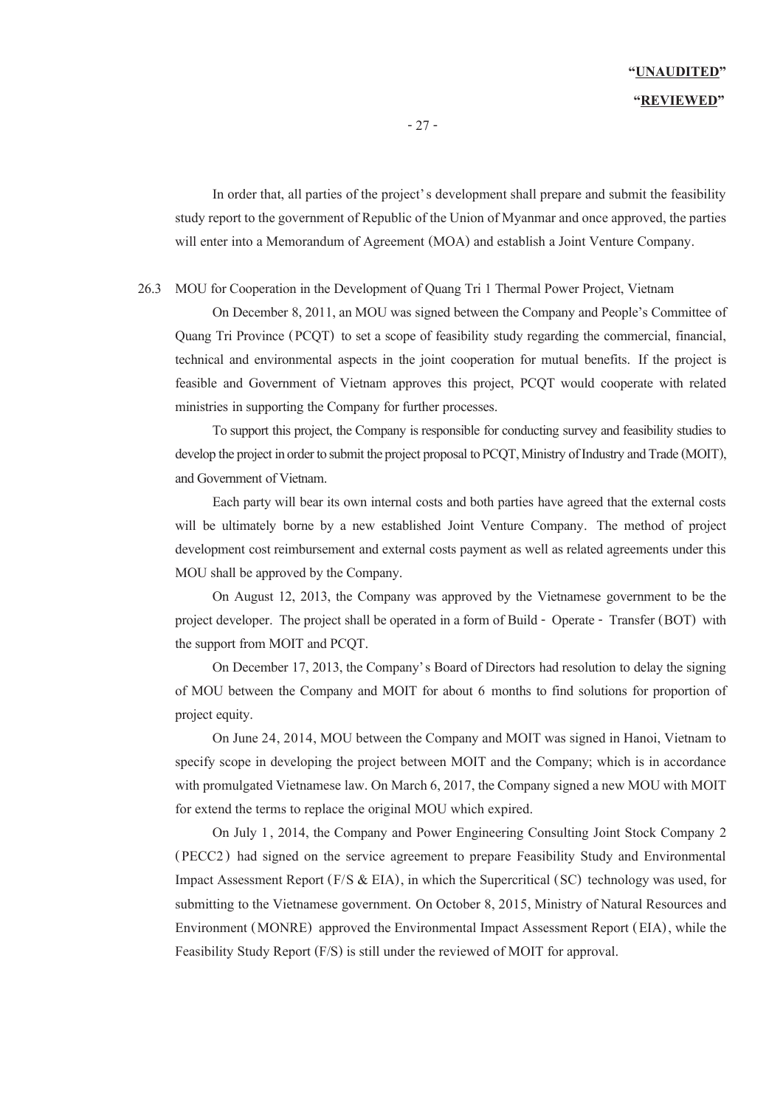In order that, all parties of the project's development shall prepare and submit the feasibility study report to the government of Republic of the Union of Myanmar and once approved, the parties will enter into a Memorandum of Agreement (MOA) and establish a Joint Venture Company.

26.3 MOU for Cooperation in the Development of Quang Tri 1 Thermal Power Project, Vietnam

On December 8, 2011, an MOU was signed between the Company and People's Committee of Quang Tri Province (PCQT) to set a scope of feasibility study regarding the commercial, financial, technical and environmental aspects in the joint cooperation for mutual benefits. If the project is feasible and Government of Vietnam approves this project, PCQT would cooperate with related ministries in supporting the Company for further processes.

To support this project, the Company is responsible for conducting survey and feasibility studies to develop the project in order to submit the project proposal to PCQT, Ministry of Industry and Trade (MOIT), and Government of Vietnam.

Each party will bear its own internal costs and both parties have agreed that the external costs will be ultimately borne by a new established Joint Venture Company. The method of project development cost reimbursement and external costs payment as well as related agreements under this MOU shall be approved by the Company.

On August 12, 2013, the Company was approved by the Vietnamese government to be the project developer. The project shall be operated in a form of Build - Operate - Transfer (BOT) with the support from MOIT and PCQT.

On December 17, 2013, the Company's Board of Directors had resolution to delay the signing of MOU between the Company and MOIT for about 6 months to find solutions for proportion of project equity.

On June 24, 2014, MOU between the Company and MOIT was signed in Hanoi, Vietnam to specify scope in developing the project between MOIT and the Company; which is in accordance with promulgated Vietnamese law. On March 6, 2017, the Companysigned a new MOU with MOIT for extend the terms to replace the original MOU which expired.

On July 1, 2014, the Company and Power Engineering Consulting Joint Stock Company 2 (PECC2) had signed on the service agreement to prepare Feasibility Study and Environmental Impact Assessment Report (F/S & EIA), in which the Supercritical (SC) technology was used, for submitting to the Vietnamese government. On October 8, 2015, Ministry of Natural Resources and Environment (MONRE) approved the Environmental Impact Assessment Report (EIA), while the Feasibility Study Report (F/S) is still under the reviewed of MOIT for approval.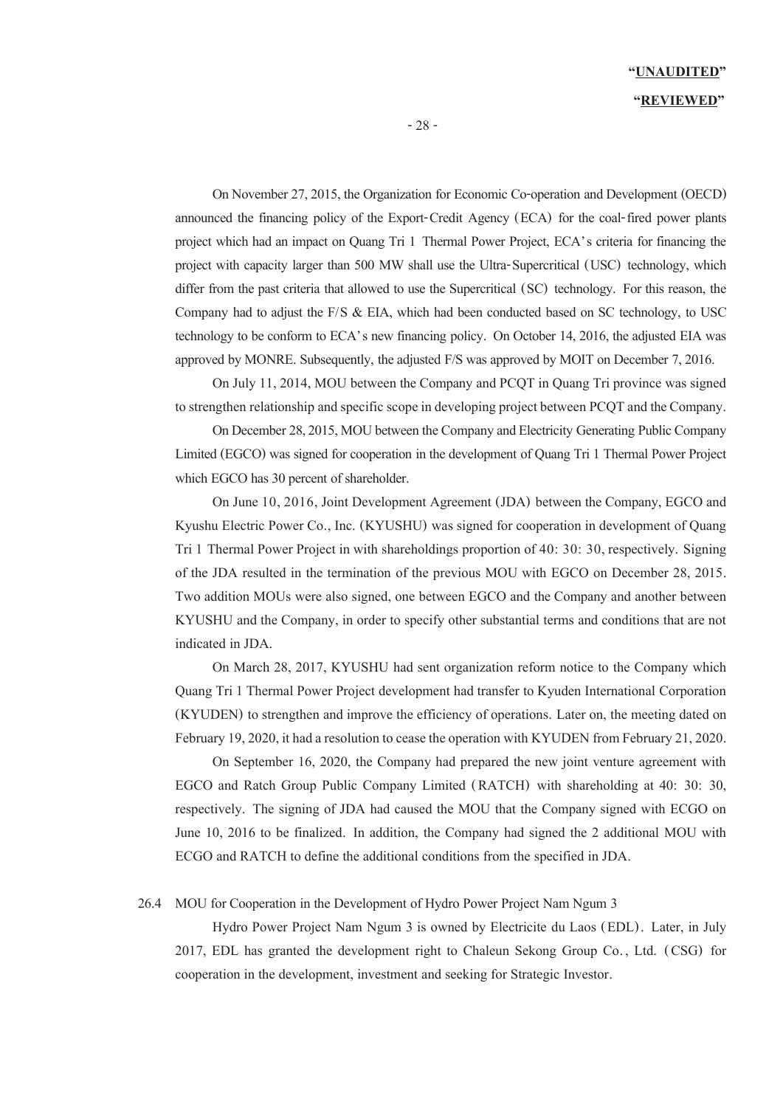### **"UNAUDITED" "REVIEWED"**

On November 27, 2015, the Organization for Economic Co-operation and Development (OECD) announced the financing policy of the Export-Credit Agency (ECA) for the coal-fired power plants project which had an impact on Quang Tri 1 Thermal Power Project, ECA's criteria for financing the project with capacity larger than 500 MW shall use the Ultra-Supercritical (USC) technology, which differ from the past criteria that allowed to use the Supercritical (SC) technology. For this reason, the Company had to adjust the F/S & EIA, which had been conducted based on SC technology, to USC technology to be conform to ECA's new financing policy. On October 14, 2016, the adjusted EIA was approved by MONRE. Subsequently, the adjusted F/S was approved by MOIT on December 7, 2016.

On July 11, 2014, MOU between the Company and PCQT in Quang Tri province was signed to strengthen relationship and specific scope in developing project between PCQT and the Company.

On December 28, 2015, MOU between the Company and Electricity Generating Public Company Limited (EGCO) was signed for cooperation in the development of Quang Tri 1 Thermal Power Project which EGCO has 30 percent of shareholder.

On June 10, 2016, Joint Development Agreement (JDA) between the Company, EGCO and Kyushu Electric Power Co., Inc. (KYUSHU) was signed for cooperation in development of Quang Tri 1 Thermal Power Project in with shareholdings proportion of 40: 30: 30, respectively. Signing of the JDA resulted in the termination of the previous MOU with EGCO on December 28, 2015. Two addition MOUs were also signed, one between EGCO and the Company and another between KYUSHU and the Company, in order to specify other substantial terms and conditions that are not indicated in JDA.

On March 28, 2017, KYUSHU had sent organization reform notice to the Company which Quang Tri 1 Thermal Power Project development had transfer to Kyuden International Corporation (KYUDEN) to strengthen and improve the efficiency of operations. Later on, the meeting dated on February 19, 2020, it had a resolution to cease the operation with KYUDEN from February 21, 2020.

On September 16, 2020, the Company had prepared the new joint venture agreement with EGCO and Ratch Group Public Company Limited (RATCH) with shareholding at 40: 30: 30, respectively. The signing of JDA had caused the MOU that the Company signed with ECGO on June 10, 2016 to be finalized. In addition, the Company had signed the 2 additional MOU with ECGO and RATCH to define the additional conditions from the specified in JDA.

26.4 MOU for Cooperation in the Development of Hydro Power Project Nam Ngum 3

Hydro Power Project Nam Ngum 3 is owned by Electricite du Laos (EDL). Later, in July 2017, EDL has granted the development right to Chaleun Sekong Group Co. , Ltd. (CSG) for cooperation in the development, investment and seeking for Strategic Investor.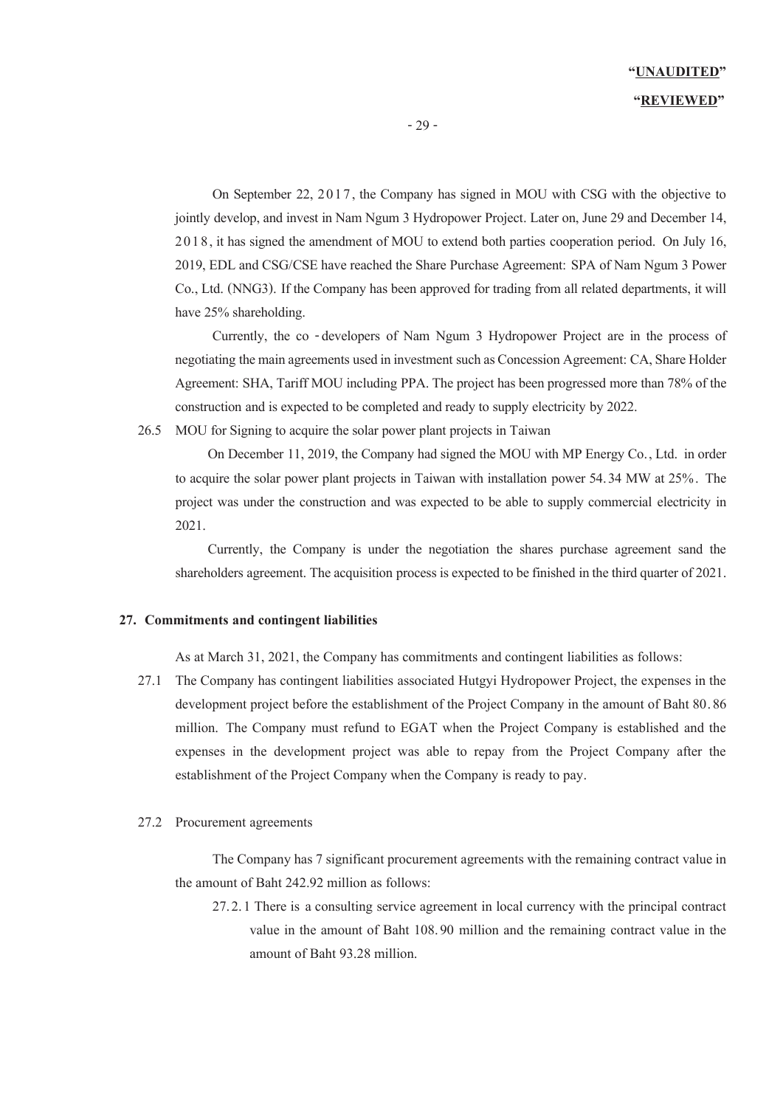On September 22, 2017, the Company has signed in MOU with CSG with the objective to jointly develop, and invest in Nam Ngum 3 Hydropower Project. Later on, June 29 and December 14, 2018, it has signed the amendment of MOU to extend both parties cooperation period. On July 16, 2019, EDL and CSG/CSE have reached the Share Purchase Agreement: SPA of Nam Ngum 3 Power Co., Ltd. (NNG3). If the Company has been approved for trading from all related departments, it will have 25% shareholding.

Currently, the co -developers of Nam Ngum 3 Hydropower Project are in the process of negotiating the main agreements used in investment such as Concession Agreement: CA, Share Holder Agreement: SHA, Tariff MOU including PPA. The project has been progressed more than 78% of the construction and is expected to be completed and ready to supply electricity by 2022.

26.5 MOU for Signing to acquire the solar power plant projects in Taiwan

 On December 11, 2019, the Company had signed the MOU with MP Energy Co., Ltd. in order to acquire the solar power plant projects in Taiwan with installation power 54.34 MW at 25%. The project was under the construction and was expected to be able to supply commercial electricity in 2021.

 Currently, the Company is under the negotiation the shares purchase agreement sand the shareholders agreement. The acquisition process is expected to be finished in the third quarter of 2021.

#### **27. Commitments and contingent liabilities**

As at March 31, 2021, the Company has commitments and contingent liabilities as follows:

27.1 The Company has contingent liabilities associated Hutgyi Hydropower Project, the expenses in the development project before the establishment of the Project Company in the amount of Baht 80.86 million. The Company must refund to EGAT when the Project Company is established and the expenses in the development project was able to repay from the Project Company after the establishment of the Project Company when the Company is ready to pay.

#### 27.2 Procurement agreements

The Company has 7 significant procurement agreements with the remaining contract value in the amount of Baht 242.92 million as follows:

27.2.1 There is a consulting service agreement in local currency with the principal contract value in the amount of Baht 108.90 million and the remaining contract value in the amount of Baht 93.28 million.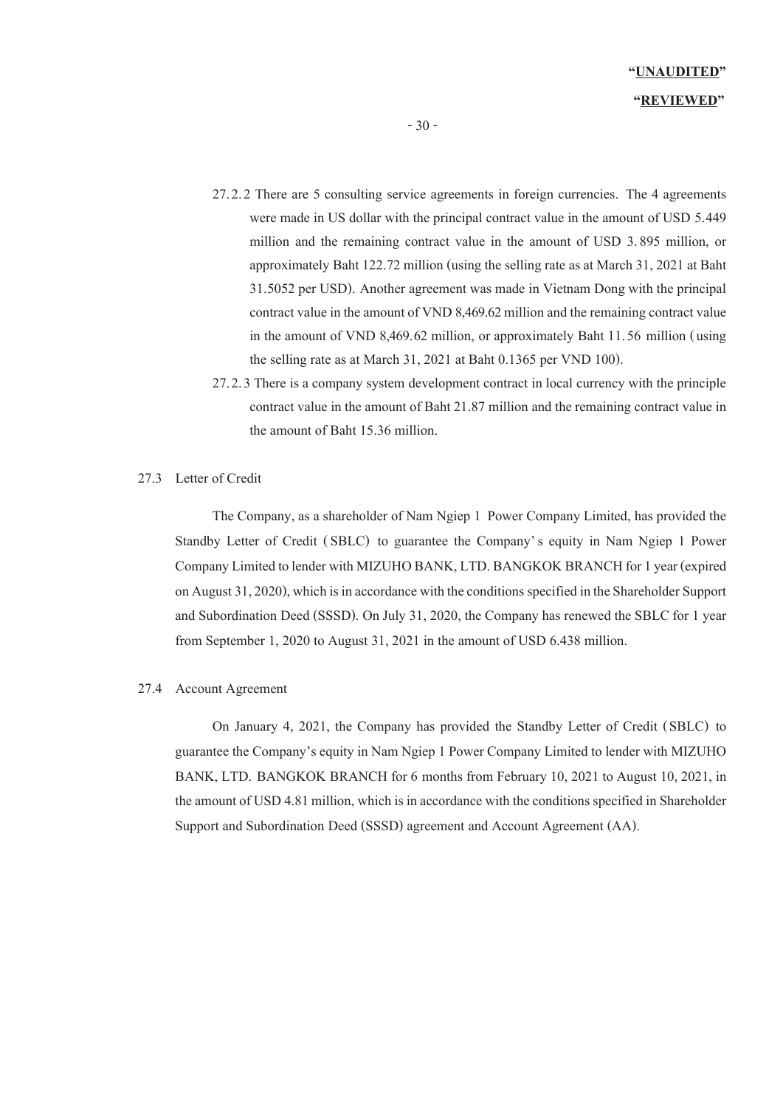- 27.2.2 There are 5 consulting service agreements in foreign currencies. The 4 agreements were made in US dollar with the principal contract value in the amount of USD 5.449 million and the remaining contract value in the amount of USD 3.895 million, or approximately Baht 122.72 million (using the selling rate as at March 31, 2021at Baht 31.5052 per USD). Another agreement was made in Vietnam Dong with the principal contract value in the amount of VND 8,469.62 million and the remaining contract value in the amount of VND 8,469.62 million, or approximately Baht 11.56 million (using the selling rate as at March 31, 2021 at Baht 0.1365 per VND 100).
- 27.2.3 There is a company system development contract in local currency with the principle contract value in the amount of Baht 21.87 million and the remaining contract value in the amount of Baht 15.36 million.

#### 27.3 Letter of Credit

The Company, as a shareholder of Nam Ngiep 1 Power Company Limited, has provided the Standby Letter of Credit (SBLC) to guarantee the Company's equity in Nam Ngiep 1 Power Company Limited to lender with MIZUHO BANK, LTD. BANGKOK BRANCH for 1 year (expired on August 31, 2020), which is in accordance with the conditions specified in the Shareholder Support and Subordination Deed (SSSD). On July 31, 2020, the Company has renewed the SBLC for 1 year from September 1, 2020 to August 31, 2021 in the amount of USD 6.438 million.

#### 27.4 Account Agreement

On January 4, 2021, the Company has provided the Standby Letter of Credit (SBLC) to guarantee the Company's equity in Nam Ngiep 1 Power Company Limited to lender with MIZUHO BANK, LTD. BANGKOK BRANCH for 6 months from February 10, 2021 to August 10, 2021, in the amount of USD 4.81 million, which is in accordance with the conditions specified in Shareholder Support and Subordination Deed (SSSD) agreement and Account Agreement (AA).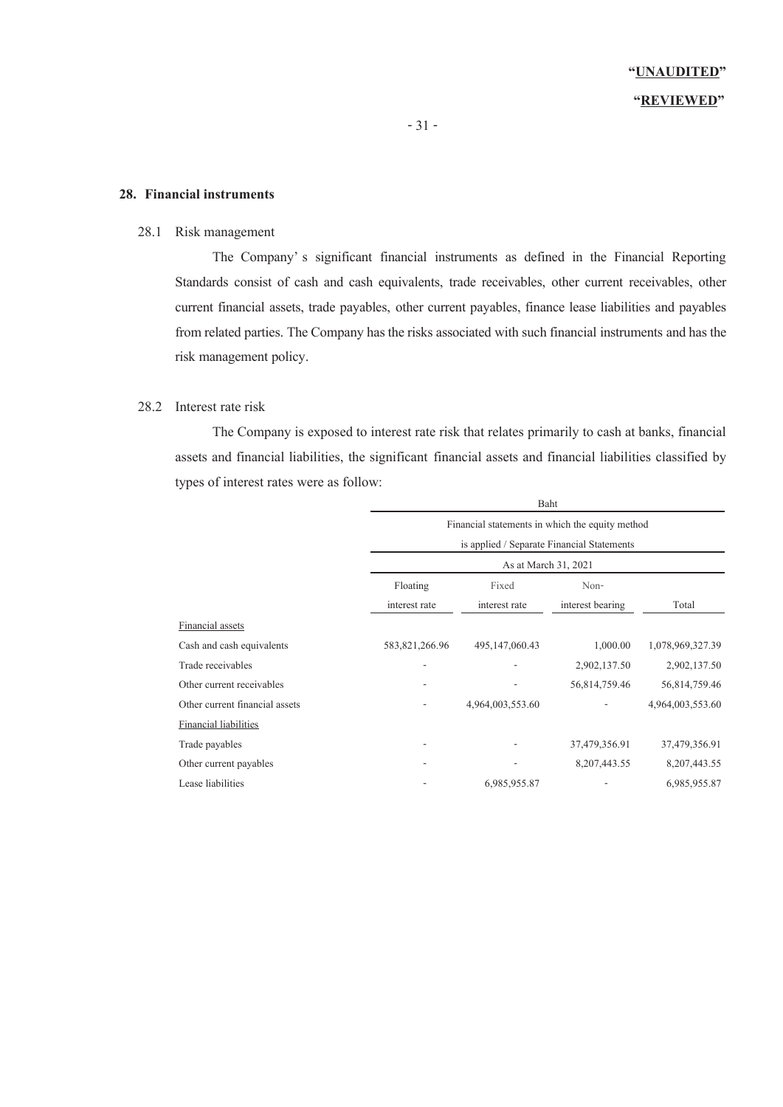#### **28. Financial instruments**

#### 28.1 Risk management

The Company' s significant financial instruments as defined in the Financial Reporting Standards consist of cash and cash equivalents, trade receivables, other current receivables, other current financial assets, trade payables, other current payables, finance lease liabilities and payables from related parties. The Company has the risks associated with such financial instruments and has the risk management policy.

#### 28.2 Interest rate risk

The Company is exposed to interest rate risk that relates primarily to cash at banks, financial assets and financial liabilities, the significant financial assets and financial liabilities classified by types of interest rates were as follow:

|                                | Baht                                                                                          |                   |                  |                  |  |
|--------------------------------|-----------------------------------------------------------------------------------------------|-------------------|------------------|------------------|--|
|                                | Financial statements in which the equity method<br>is applied / Separate Financial Statements |                   |                  |                  |  |
|                                |                                                                                               |                   |                  |                  |  |
|                                | As at March 31, 2021                                                                          |                   |                  |                  |  |
|                                | Floating<br>Fixed<br>Non-                                                                     |                   |                  |                  |  |
|                                | interest rate                                                                                 | interest rate     | interest bearing | Total            |  |
| <b>Financial</b> assets        |                                                                                               |                   |                  |                  |  |
| Cash and cash equivalents      | 583, 821, 266. 96                                                                             | 495, 147, 060. 43 | 1,000.00         | 1,078,969,327.39 |  |
| Trade receivables              |                                                                                               |                   | 2,902,137.50     | 2,902,137.50     |  |
| Other current receivables      |                                                                                               |                   | 56,814,759.46    | 56,814,759.46    |  |
| Other current financial assets |                                                                                               | 4,964,003,553.60  |                  | 4,964,003,553.60 |  |
| Financial liabilities          |                                                                                               |                   |                  |                  |  |
| Trade payables                 |                                                                                               |                   | 37,479,356.91    | 37,479,356.91    |  |
| Other current payables         |                                                                                               |                   | 8, 207, 443.55   | 8, 207, 443.55   |  |
| Lease liabilities              |                                                                                               | 6,985,955.87      |                  | 6,985,955.87     |  |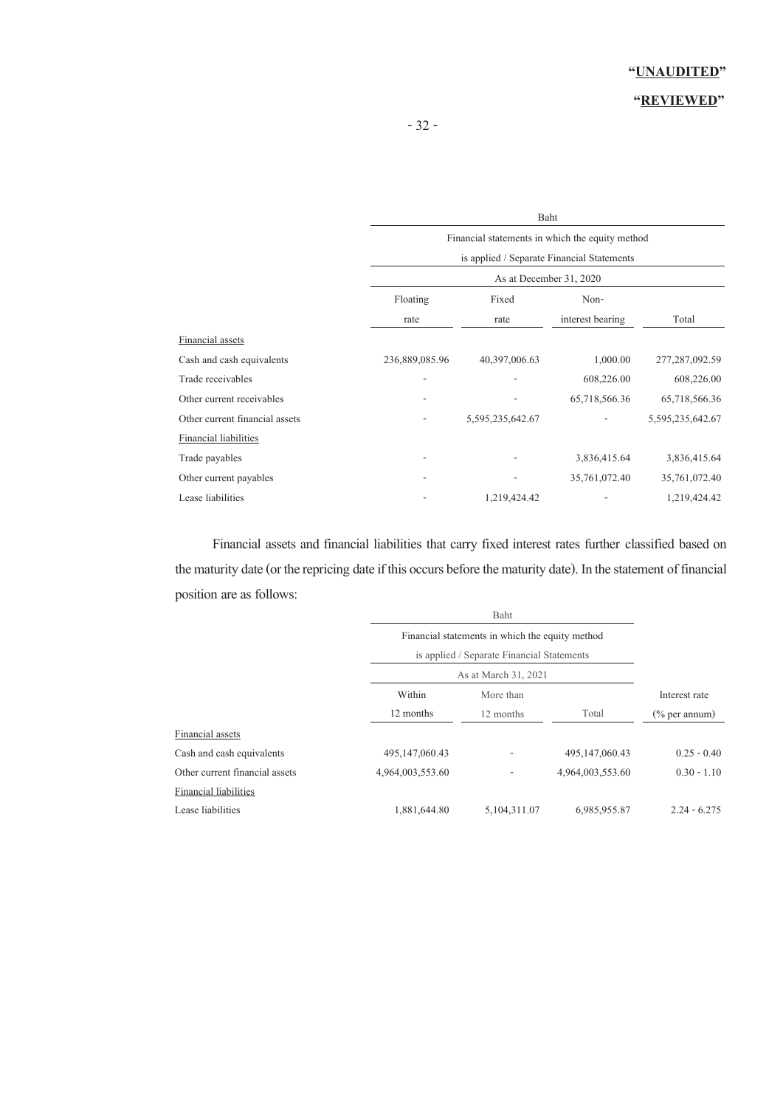### **"REVIEWED"**

|                                | Baht                                            |                  |                  |                  |  |
|--------------------------------|-------------------------------------------------|------------------|------------------|------------------|--|
|                                | Financial statements in which the equity method |                  |                  |                  |  |
|                                | is applied / Separate Financial Statements      |                  |                  |                  |  |
|                                | As at December 31, 2020                         |                  |                  |                  |  |
|                                | Floating                                        | Fixed            | Non-             |                  |  |
|                                | rate                                            | rate             | interest bearing | Total            |  |
| Financial assets               |                                                 |                  |                  |                  |  |
| Cash and cash equivalents      | 236,889,085.96                                  | 40,397,006.63    | 1,000.00         | 277, 287, 092.59 |  |
| Trade receivables              | ٠                                               |                  | 608,226.00       | 608,226.00       |  |
| Other current receivables      |                                                 |                  | 65,718,566.36    | 65,718,566.36    |  |
| Other current financial assets |                                                 | 5,595,235,642.67 |                  | 5,595,235,642.67 |  |
| Financial liabilities          |                                                 |                  |                  |                  |  |
| Trade payables                 |                                                 |                  | 3,836,415.64     | 3,836,415.64     |  |
| Other current payables         |                                                 |                  | 35,761,072.40    | 35,761,072.40    |  |
| Lease liabilities              |                                                 | 1,219,424.42     |                  | 1,219,424.42     |  |

Financial assets and financial liabilities that carry fixed interest rates further classified based on the maturity date (or the repricing date if this occurs before the maturity date). In the statement of financial position are as follows:

|                                | Financial statements in which the equity method |                                            |                  |                  |  |
|--------------------------------|-------------------------------------------------|--------------------------------------------|------------------|------------------|--|
|                                |                                                 | is applied / Separate Financial Statements |                  |                  |  |
|                                |                                                 | As at March 31, 2021                       |                  |                  |  |
|                                | Within                                          | More than                                  |                  | Interest rate    |  |
|                                | 12 months                                       | 12 months                                  | Total            | $(\%$ per annum) |  |
| Financial assets               |                                                 |                                            |                  |                  |  |
| Cash and cash equivalents      | 495, 147, 060, 43                               |                                            | 495,147,060.43   | $0.25 - 0.40$    |  |
| Other current financial assets | 4,964,003,553.60                                |                                            | 4,964,003,553.60 | $0.30 - 1.10$    |  |
| <b>Financial liabilities</b>   |                                                 |                                            |                  |                  |  |
| Lease liabilities              | 1,881,644.80                                    | 5, 104, 311, 07                            | 6,985,955.87     | $2.24 - 6.275$   |  |
|                                |                                                 |                                            |                  |                  |  |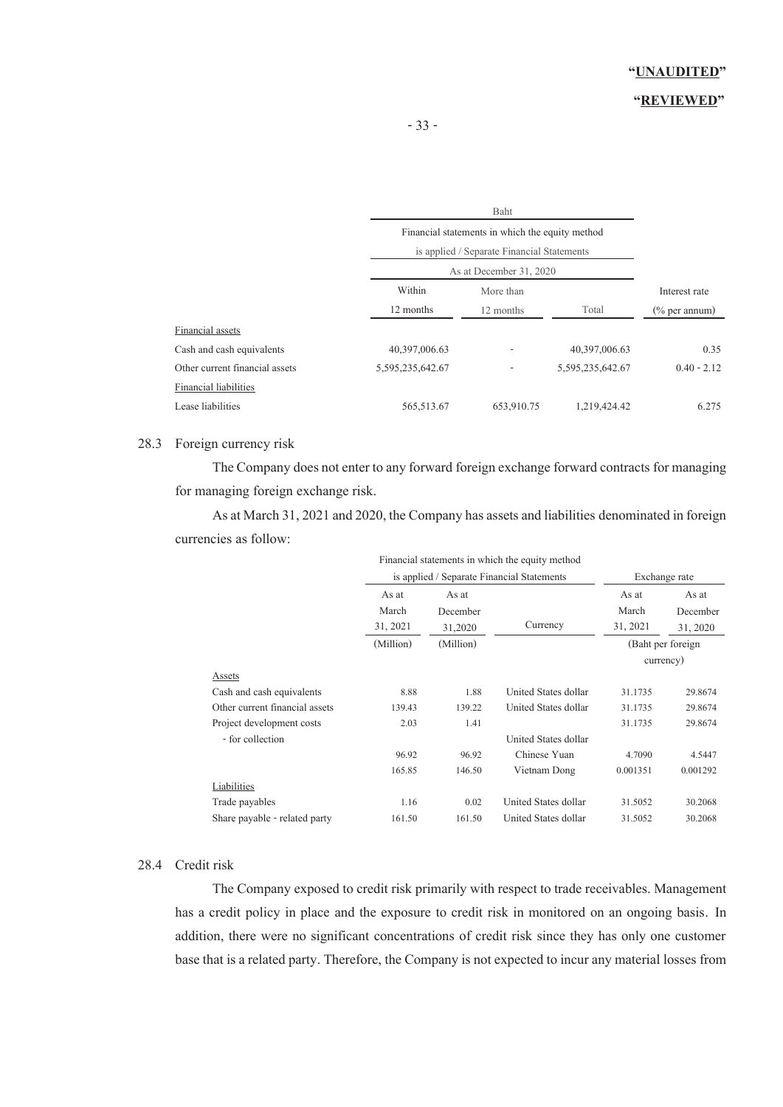### **"REVIEWED"**

|                                |                                                 | Baht                                       |                  |                  |  |
|--------------------------------|-------------------------------------------------|--------------------------------------------|------------------|------------------|--|
|                                | Financial statements in which the equity method |                                            |                  |                  |  |
|                                |                                                 | is applied / Separate Financial Statements |                  |                  |  |
|                                | As at December 31, 2020                         |                                            |                  |                  |  |
|                                | Within                                          | More than                                  |                  | Interest rate    |  |
|                                | 12 months                                       | 12 months                                  | Total            | $(\%$ per annum) |  |
| Financial assets               |                                                 |                                            |                  |                  |  |
| Cash and cash equivalents      | 40,397,006.63                                   |                                            | 40,397,006.63    | 0.35             |  |
| Other current financial assets | 5,595,235,642.67                                |                                            | 5,595,235,642.67 | $0.40 - 2.12$    |  |
| Financial liabilities          |                                                 |                                            |                  |                  |  |
| Lease liabilities              | 565,513.67                                      | 653,910.75                                 | 1,219,424.42     | 6.275            |  |

### 28.3 Foreign currency risk

The Company does not enter to any forward foreign exchange forward contracts for managing for managing foreign exchange risk.

As at March 31, 2021 and 2020, the Company has assets and liabilities denominated in foreign currencies as follow:

|                                |                       |                      | Financial statements in which the equity method |                |                                    |
|--------------------------------|-----------------------|----------------------|-------------------------------------------------|----------------|------------------------------------|
|                                | As at<br>March        | As at<br>December    | is applied / Separate Financial Statements      | As at<br>March | Exchange rate<br>As at<br>December |
|                                | 31, 2021<br>(Million) | 31,2020<br>(Million) | Currency                                        | 31, 2021       | 31, 2020<br>(Baht per foreign)     |
| Assets                         |                       |                      |                                                 |                | currency)                          |
| Cash and cash equivalents      | 8.88                  | 1.88                 | United States dollar                            | 31.1735        | 29.8674                            |
| Other current financial assets | 139.43                | 139.22               | United States dollar                            | 31.1735        | 29.8674                            |
| Project development costs      | 2.03                  | 1.41                 |                                                 | 31.1735        | 29.8674                            |
| - for collection               |                       |                      | United States dollar                            |                |                                    |
|                                | 96.92                 | 96.92                | Chinese Yuan                                    | 4.7090         | 4.5447                             |
|                                | 165.85                | 146.50               | Vietnam Dong                                    | 0.001351       | 0.001292                           |
| Liabilities                    |                       |                      |                                                 |                |                                    |
| Trade payables                 | 1.16                  | 0.02                 | United States dollar                            | 31.5052        | 30.2068                            |
| Share payable - related party  | 161.50                | 161.50               | United States dollar                            | 31.5052        | 30.2068                            |

#### 28.4 Credit risk

The Company exposed to credit risk primarily with respect to trade receivables. Management has a credit policy in place and the exposure to credit risk in monitored on an ongoing basis. In addition, there were no significant concentrations of credit risk since they has only one customer base that is a related party. Therefore, the Company is not expected to incur any material losses from